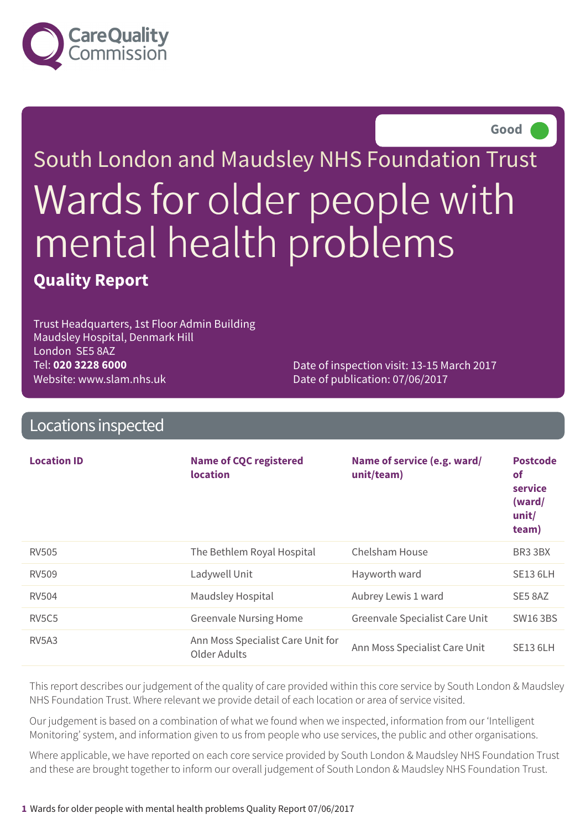

**Good –––**

# South London and Maudsley NHS Foundation Trust Wards for older people with mental health problems **Quality Report**

Trust Headquarters, 1st Floor Admin Building Maudsley Hospital, Denmark Hill London SE5 8AZ Tel: **020 3228 6000** Website: www.slam.nhs.uk

Date of inspection visit: 13-15 March 2017 Date of publication: 07/06/2017

### Locations inspected

| <b>Location ID</b>             | <b>Name of CQC registered</b><br><b>location</b>  | Name of service (e.g. ward/<br>unit/team) | <b>Postcode</b><br>of<br>service<br>(ward/<br>unit/<br>team) |
|--------------------------------|---------------------------------------------------|-------------------------------------------|--------------------------------------------------------------|
| <b>RV505</b>                   | The Bethlem Royal Hospital                        | Chelsham House                            | BR3 3BX                                                      |
| <b>RV509</b>                   | Ladywell Unit                                     | Hayworth ward                             | <b>SE13 6LH</b>                                              |
| <b>RV504</b>                   | Maudsley Hospital                                 | Aubrey Lewis 1 ward                       | SE5 8AZ                                                      |
| RV <sub>5</sub> C <sub>5</sub> | <b>Greenvale Nursing Home</b>                     | Greenvale Specialist Care Unit            | <b>SW16 3BS</b>                                              |
| RV <sub>5</sub> A <sub>3</sub> | Ann Moss Specialist Care Unit for<br>Older Adults | Ann Moss Specialist Care Unit             | <b>SE13 6LH</b>                                              |

This report describes our judgement of the quality of care provided within this core service by South London & Maudsley NHS Foundation Trust. Where relevant we provide detail of each location or area of service visited.

Our judgement is based on a combination of what we found when we inspected, information from our 'Intelligent Monitoring' system, and information given to us from people who use services, the public and other organisations.

Where applicable, we have reported on each core service provided by South London & Maudsley NHS Foundation Trust and these are brought together to inform our overall judgement of South London & Maudsley NHS Foundation Trust.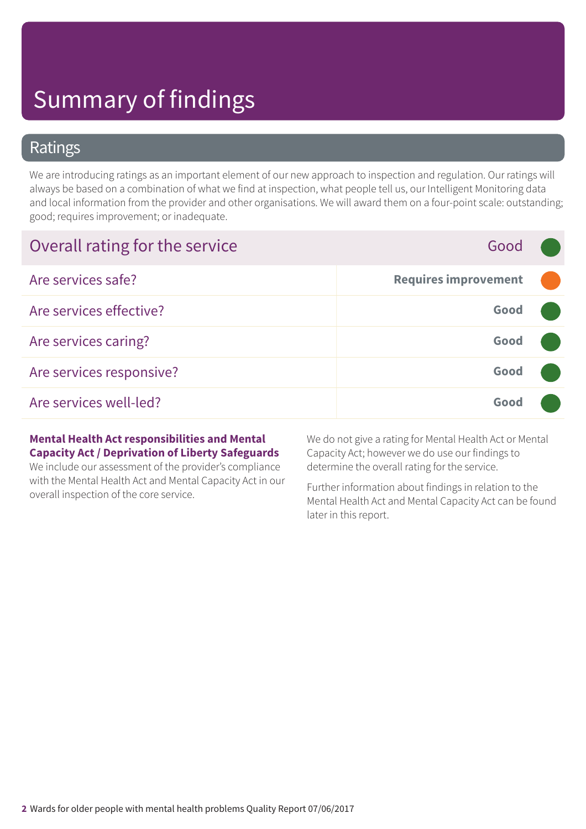### Ratings

We are introducing ratings as an important element of our new approach to inspection and regulation. Our ratings will always be based on a combination of what we find at inspection, what people tell us, our Intelligent Monitoring data and local information from the provider and other organisations. We will award them on a four-point scale: outstanding; good; requires improvement; or inadequate.

| Overall rating for the service | Good                        |  |
|--------------------------------|-----------------------------|--|
| Are services safe?             | <b>Requires improvement</b> |  |
| Are services effective?        | Good                        |  |
| Are services caring?           | Good                        |  |
| Are services responsive?       | Good                        |  |
| Are services well-led?         | Good                        |  |

#### **Mental Health Act responsibilities and Mental Capacity Act / Deprivation of Liberty Safeguards**

We include our assessment of the provider's compliance with the Mental Health Act and Mental Capacity Act in our overall inspection of the core service.

We do not give a rating for Mental Health Act or Mental Capacity Act; however we do use our findings to determine the overall rating for the service.

Further information about findings in relation to the Mental Health Act and Mental Capacity Act can be found later in this report.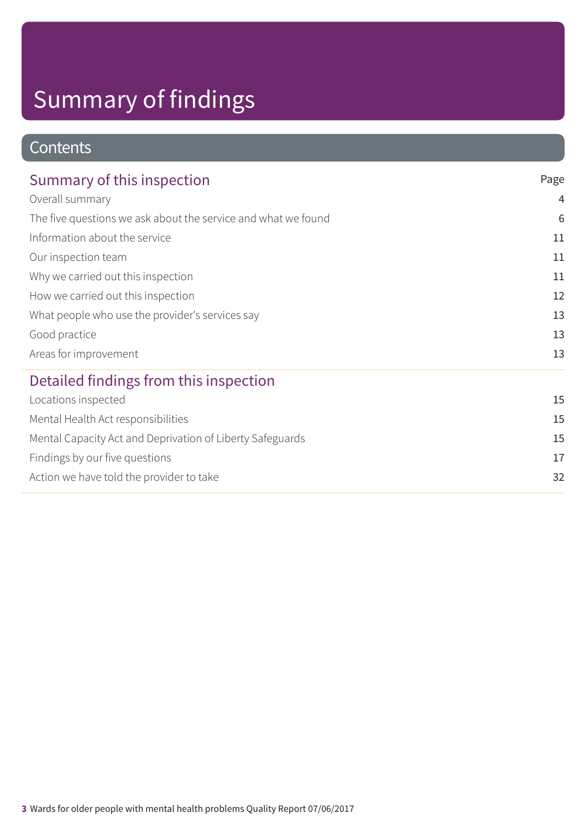### **Contents**

| Summary of this inspection                                    | Page |
|---------------------------------------------------------------|------|
| Overall summary                                               | 4    |
| The five questions we ask about the service and what we found | 6    |
| Information about the service                                 | 11   |
| Our inspection team                                           | 11   |
| Why we carried out this inspection                            | 11   |
| How we carried out this inspection                            | 12   |
| What people who use the provider's services say               | 13   |
| Good practice                                                 | 13   |
| Areas for improvement                                         | 13   |
| Detailed findings from this inspection                        |      |
| Locations inspected                                           | 15   |
| Mental Health Act responsibilities                            | 15   |
| Mental Capacity Act and Deprivation of Liberty Safeguards     | 15   |
| Findings by our five questions                                | 17   |
| Action we have told the provider to take                      | 32   |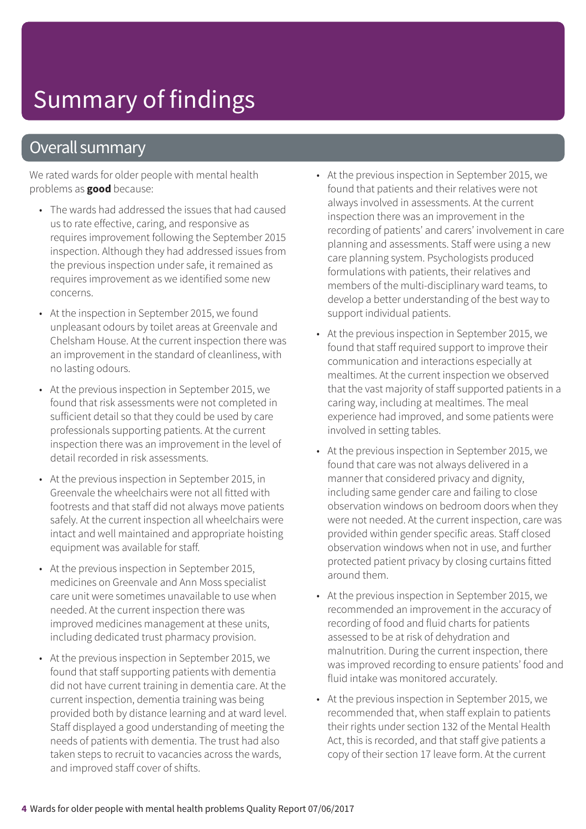### Overall summary

We rated wards for older people with mental health problems as **good** because:

- The wards had addressed the issues that had caused us to rate effective, caring, and responsive as requires improvement following the September 2015 inspection. Although they had addressed issues from the previous inspection under safe, it remained as requires improvement as we identified some new concerns.
- At the inspection in September 2015, we found unpleasant odours by toilet areas at Greenvale and Chelsham House. At the current inspection there was an improvement in the standard of cleanliness, with no lasting odours.
- At the previous inspection in September 2015, we found that risk assessments were not completed in sufficient detail so that they could be used by care professionals supporting patients. At the current inspection there was an improvement in the level of detail recorded in risk assessments.
- At the previous inspection in September 2015, in Greenvale the wheelchairs were not all fitted with footrests and that staff did not always move patients safely. At the current inspection all wheelchairs were intact and well maintained and appropriate hoisting equipment was available for staff.
- At the previous inspection in September 2015, medicines on Greenvale and Ann Moss specialist care unit were sometimes unavailable to use when needed. At the current inspection there was improved medicines management at these units, including dedicated trust pharmacy provision.
- At the previous inspection in September 2015, we found that staff supporting patients with dementia did not have current training in dementia care. At the current inspection, dementia training was being provided both by distance learning and at ward level. Staff displayed a good understanding of meeting the needs of patients with dementia. The trust had also taken steps to recruit to vacancies across the wards, and improved staff cover of shifts.
- At the previous inspection in September 2015, we found that patients and their relatives were not always involved in assessments. At the current inspection there was an improvement in the recording of patients' and carers' involvement in care planning and assessments. Staff were using a new care planning system. Psychologists produced formulations with patients, their relatives and members of the multi-disciplinary ward teams, to develop a better understanding of the best way to support individual patients.
- At the previous inspection in September 2015, we found that staff required support to improve their communication and interactions especially at mealtimes. At the current inspection we observed that the vast majority of staff supported patients in a caring way, including at mealtimes. The meal experience had improved, and some patients were involved in setting tables.
- At the previous inspection in September 2015, we found that care was not always delivered in a manner that considered privacy and dignity, including same gender care and failing to close observation windows on bedroom doors when they were not needed. At the current inspection, care was provided within gender specific areas. Staff closed observation windows when not in use, and further protected patient privacy by closing curtains fitted around them.
- At the previous inspection in September 2015, we recommended an improvement in the accuracy of recording of food and fluid charts for patients assessed to be at risk of dehydration and malnutrition. During the current inspection, there was improved recording to ensure patients' food and fluid intake was monitored accurately.
- At the previous inspection in September 2015, we recommended that, when staff explain to patients their rights under section 132 of the Mental Health Act, this is recorded, and that staff give patients a copy of their section 17 leave form. At the current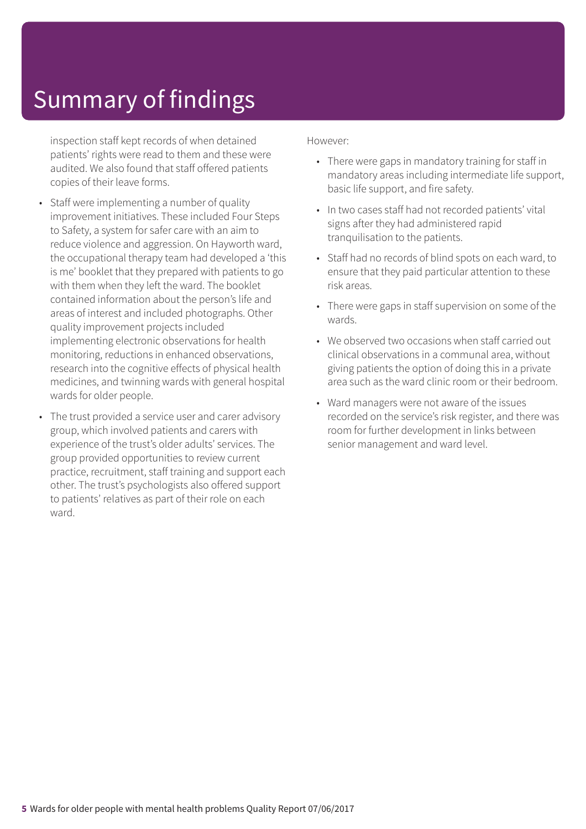inspection staff kept records of when detained patients' rights were read to them and these were audited. We also found that staff offered patients copies of their leave forms.

- Staff were implementing a number of quality improvement initiatives. These included Four Steps to Safety, a system for safer care with an aim to reduce violence and aggression. On Hayworth ward, the occupational therapy team had developed a 'this is me' booklet that they prepared with patients to go with them when they left the ward. The booklet contained information about the person's life and areas of interest and included photographs. Other quality improvement projects included implementing electronic observations for health monitoring, reductions in enhanced observations, research into the cognitive effects of physical health medicines, and twinning wards with general hospital wards for older people.
- The trust provided a service user and carer advisory group, which involved patients and carers with experience of the trust's older adults' services. The group provided opportunities to review current practice, recruitment, staff training and support each other. The trust's psychologists also offered support to patients' relatives as part of their role on each ward.

#### However:

- There were gaps in mandatory training for staff in mandatory areas including intermediate life support, basic life support, and fire safety.
- In two cases staff had not recorded patients' vital signs after they had administered rapid tranquilisation to the patients.
- Staff had no records of blind spots on each ward, to ensure that they paid particular attention to these risk areas.
- There were gaps in staff supervision on some of the wards.
- We observed two occasions when staff carried out clinical observations in a communal area, without giving patients the option of doing this in a private area such as the ward clinic room or their bedroom.
- Ward managers were not aware of the issues recorded on the service's risk register, and there was room for further development in links between senior management and ward level.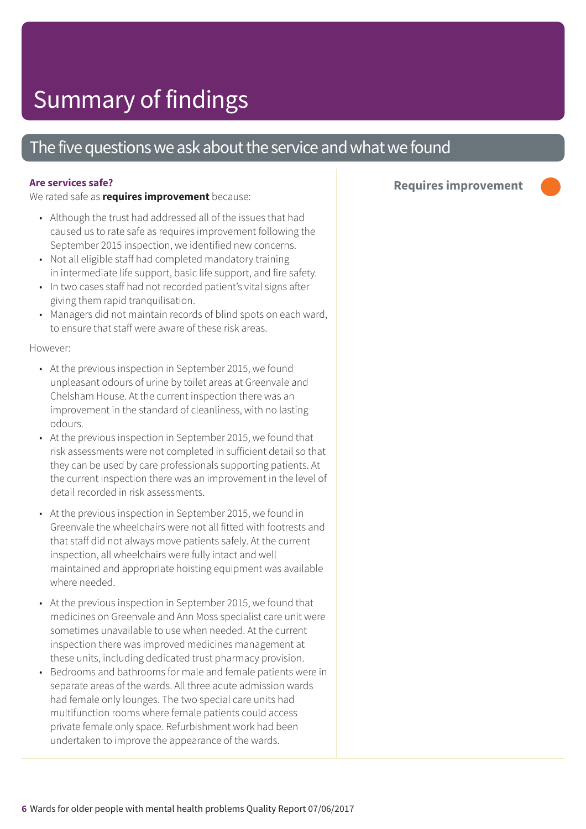### The five questions we ask about the service and what we found

#### **Are services safe?**

We rated safe as **requires improvement** because:

- Although the trust had addressed all of the issues that had caused us to rate safe as requires improvement following the September 2015 inspection, we identified new concerns.
- Not all eligible staff had completed mandatory training in intermediate life support, basic life support, and fire safety.
- In two cases staff had not recorded patient's vital signs after giving them rapid tranquilisation.
- Managers did not maintain records of blind spots on each ward, to ensure that staff were aware of these risk areas.

#### However:

- At the previous inspection in September 2015, we found unpleasant odours of urine by toilet areas at Greenvale and Chelsham House. At the current inspection there was an improvement in the standard of cleanliness, with no lasting odours.
- At the previous inspection in September 2015, we found that risk assessments were not completed in sufficient detail so that they can be used by care professionals supporting patients. At the current inspection there was an improvement in the level of detail recorded in risk assessments.
- At the previous inspection in September 2015, we found in Greenvale the wheelchairs were not all fitted with footrests and that staff did not always move patients safely. At the current inspection, all wheelchairs were fully intact and well maintained and appropriate hoisting equipment was available where needed.
- At the previous inspection in September 2015, we found that medicines on Greenvale and Ann Moss specialist care unit were sometimes unavailable to use when needed. At the current inspection there was improved medicines management at these units, including dedicated trust pharmacy provision.
- Bedrooms and bathrooms for male and female patients were in separate areas of the wards. All three acute admission wards had female only lounges. The two special care units had multifunction rooms where female patients could access private female only space. Refurbishment work had been undertaken to improve the appearance of the wards.

### **Requires improvement –––**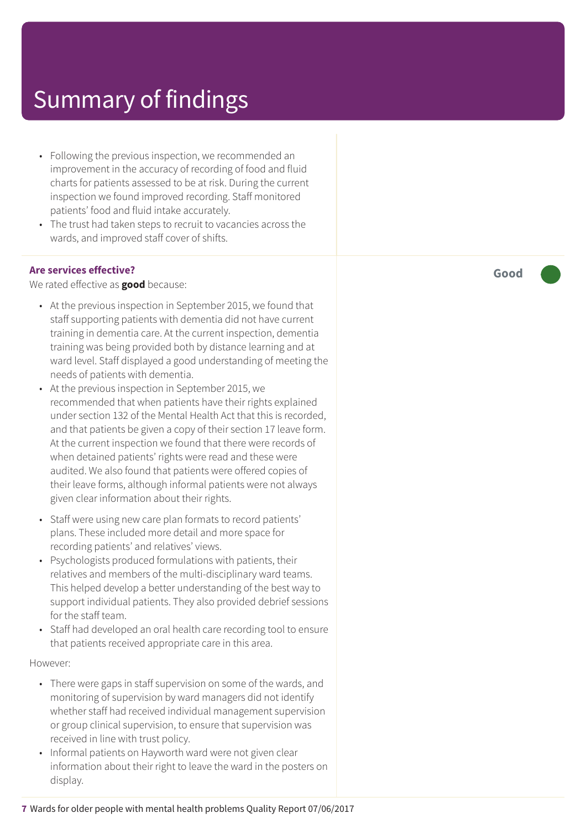- Following the previous inspection, we recommended an improvement in the accuracy of recording of food and fluid charts for patients assessed to be at risk. During the current inspection we found improved recording. Staff monitored patients' food and fluid intake accurately.
- The trust had taken steps to recruit to vacancies across the wards, and improved staff cover of shifts.

#### **Are services effective?**

We rated effective as **good** because:

- At the previous inspection in September 2015, we found that staff supporting patients with dementia did not have current training in dementia care. At the current inspection, dementia training was being provided both by distance learning and at ward level. Staff displayed a good understanding of meeting the needs of patients with dementia.
- At the previous inspection in September 2015, we recommended that when patients have their rights explained under section 132 of the Mental Health Act that this is recorded, and that patients be given a copy of their section 17 leave form. At the current inspection we found that there were records of when detained patients' rights were read and these were audited. We also found that patients were offered copies of their leave forms, although informal patients were not always given clear information about their rights.
- Staff were using new care plan formats to record patients' plans. These included more detail and more space for recording patients' and relatives' views.
- Psychologists produced formulations with patients, their relatives and members of the multi-disciplinary ward teams. This helped develop a better understanding of the best way to support individual patients. They also provided debrief sessions for the staff team.
- Staff had developed an oral health care recording tool to ensure that patients received appropriate care in this area.

#### However:

- There were gaps in staff supervision on some of the wards, and monitoring of supervision by ward managers did not identify whether staff had received individual management supervision or group clinical supervision, to ensure that supervision was received in line with trust policy.
- Informal patients on Hayworth ward were not given clear information about their right to leave the ward in the posters on display.

**Good –––**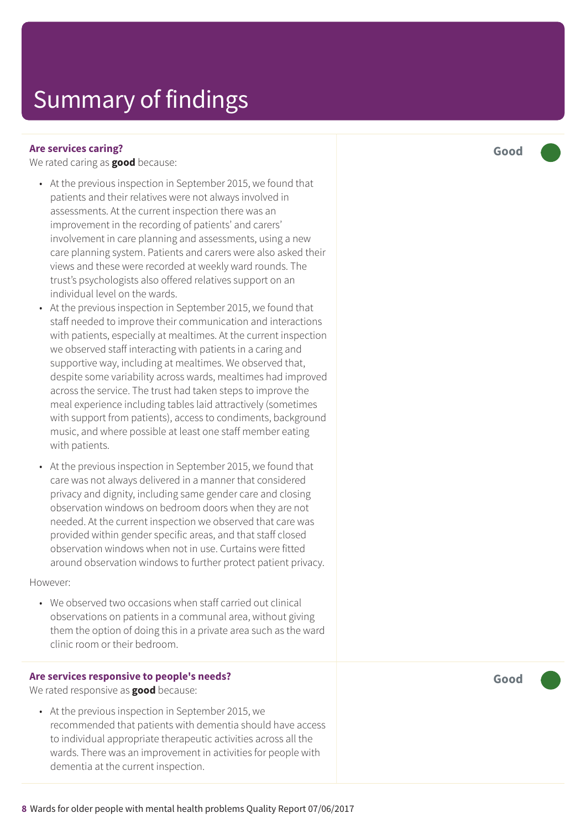#### **Are services caring?**

We rated caring as **good** because:

- At the previous inspection in September 2015, we found that patients and their relatives were not always involved in assessments. At the current inspection there was an improvement in the recording of patients' and carers' involvement in care planning and assessments, using a new care planning system. Patients and carers were also asked their views and these were recorded at weekly ward rounds. The trust's psychologists also offered relatives support on an individual level on the wards.
- At the previous inspection in September 2015, we found that staff needed to improve their communication and interactions with patients, especially at mealtimes. At the current inspection we observed staff interacting with patients in a caring and supportive way, including at mealtimes. We observed that, despite some variability across wards, mealtimes had improved across the service. The trust had taken steps to improve the meal experience including tables laid attractively (sometimes with support from patients), access to condiments, background music, and where possible at least one staff member eating with patients.
- At the previous inspection in September 2015, we found that care was not always delivered in a manner that considered privacy and dignity, including same gender care and closing observation windows on bedroom doors when they are not needed. At the current inspection we observed that care was provided within gender specific areas, and that staff closed observation windows when not in use. Curtains were fitted around observation windows to further protect patient privacy.

However:

• We observed two occasions when staff carried out clinical observations on patients in a communal area, without giving them the option of doing this in a private area such as the ward clinic room or their bedroom.

#### **Are services responsive to people's needs?**

We rated responsive as **good** because:

• At the previous inspection in September 2015, we recommended that patients with dementia should have access to individual appropriate therapeutic activities across all the wards. There was an improvement in activities for people with dementia at the current inspection.

**Good –––**

**Good –––**

**8** Wards for older people with mental health problems Quality Report 07/06/2017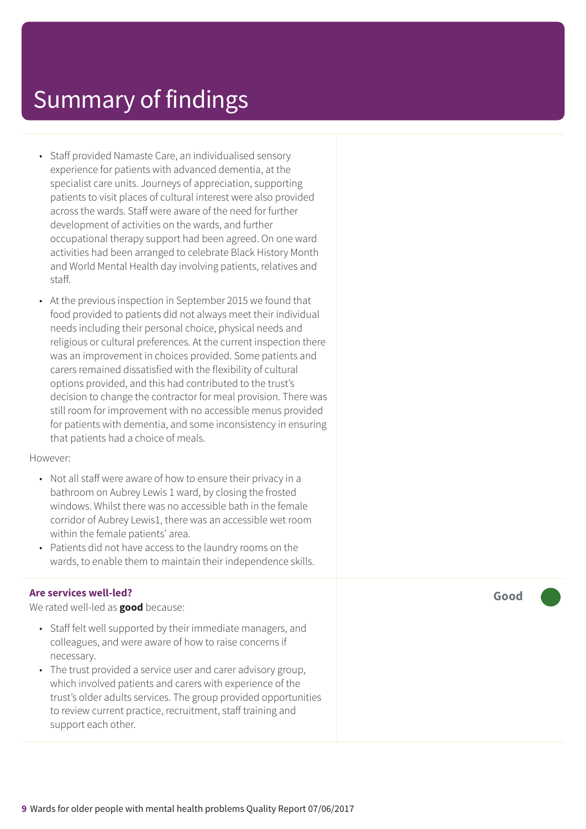- Staff provided Namaste Care, an individualised sensory experience for patients with advanced dementia, at the specialist care units. Journeys of appreciation, supporting patients to visit places of cultural interest were also provided across the wards. Staff were aware of the need for further development of activities on the wards, and further occupational therapy support had been agreed. On one ward activities had been arranged to celebrate Black History Month and World Mental Health day involving patients, relatives and staff.
- At the previous inspection in September 2015 we found that food provided to patients did not always meet their individual needs including their personal choice, physical needs and religious or cultural preferences. At the current inspection there was an improvement in choices provided. Some patients and carers remained dissatisfied with the flexibility of cultural options provided, and this had contributed to the trust's decision to change the contractor for meal provision. There was still room for improvement with no accessible menus provided for patients with dementia, and some inconsistency in ensuring that patients had a choice of meals.

#### However:

- Not all staff were aware of how to ensure their privacy in a bathroom on Aubrey Lewis 1 ward, by closing the frosted windows. Whilst there was no accessible bath in the female corridor of Aubrey Lewis1, there was an accessible wet room within the female patients' area.
- Patients did not have access to the laundry rooms on the wards, to enable them to maintain their independence skills.

#### **Are services well-led?**

We rated well-led as **good** because:

- Staff felt well supported by their immediate managers, and colleagues, and were aware of how to raise concerns if necessary.
- The trust provided a service user and carer advisory group, which involved patients and carers with experience of the trust's older adults services. The group provided opportunities to review current practice, recruitment, staff training and support each other.

**Good –––**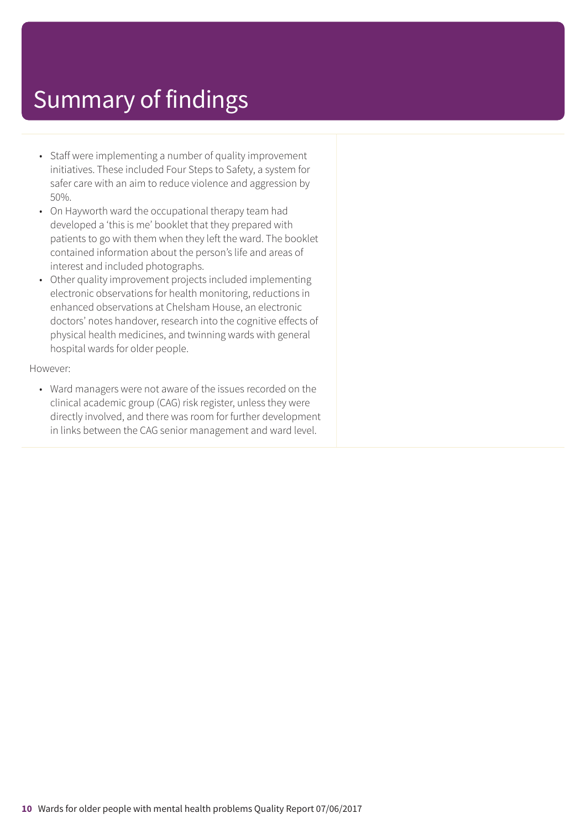- Staff were implementing a number of quality improvement initiatives. These included Four Steps to Safety, a system for safer care with an aim to reduce violence and aggression by 50%.
- On Hayworth ward the occupational therapy team had developed a 'this is me' booklet that they prepared with patients to go with them when they left the ward. The booklet contained information about the person's life and areas of interest and included photographs.
- Other quality improvement projects included implementing electronic observations for health monitoring, reductions in enhanced observations at Chelsham House, an electronic doctors' notes handover, research into the cognitive effects of physical health medicines, and twinning wards with general hospital wards for older people.

#### However:

• Ward managers were not aware of the issues recorded on the clinical academic group (CAG) risk register, unless they were directly involved, and there was room for further development in links between the CAG senior management and ward level.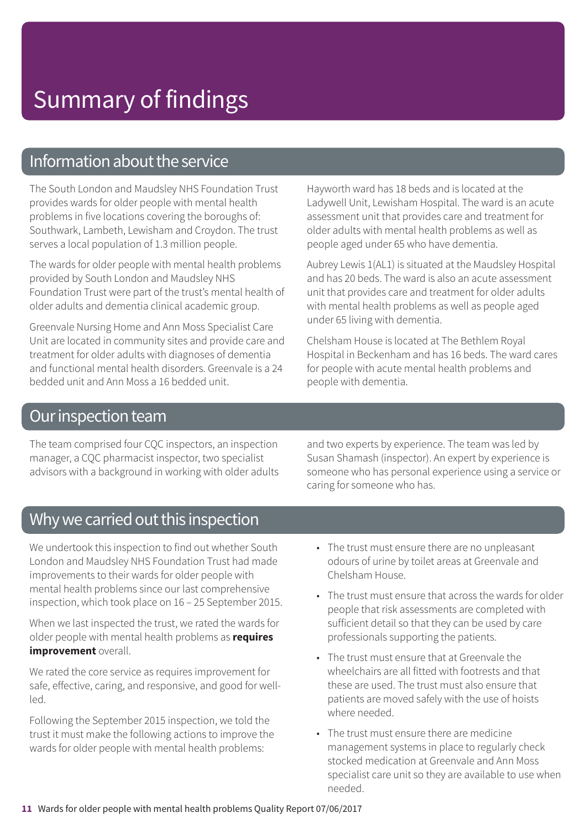### Information about the service

The South London and Maudsley NHS Foundation Trust provides wards for older people with mental health problems in five locations covering the boroughs of: Southwark, Lambeth, Lewisham and Croydon. The trust serves a local population of 1.3 million people.

The wards for older people with mental health problems provided by South London and Maudsley NHS Foundation Trust were part of the trust's mental health of older adults and dementia clinical academic group.

Greenvale Nursing Home and Ann Moss Specialist Care Unit are located in community sites and provide care and treatment for older adults with diagnoses of dementia and functional mental health disorders. Greenvale is a 24 bedded unit and Ann Moss a 16 bedded unit.

Hayworth ward has 18 beds and is located at the Ladywell Unit, Lewisham Hospital. The ward is an acute assessment unit that provides care and treatment for older adults with mental health problems as well as people aged under 65 who have dementia.

Aubrey Lewis 1(AL1) is situated at the Maudsley Hospital and has 20 beds. The ward is also an acute assessment unit that provides care and treatment for older adults with mental health problems as well as people aged under 65 living with dementia.

Chelsham House is located at The Bethlem Royal Hospital in Beckenham and has 16 beds. The ward cares for people with acute mental health problems and people with dementia.

### Our inspection team

The team comprised four CQC inspectors, an inspection manager, a CQC pharmacist inspector, two specialist advisors with a background in working with older adults and two experts by experience. The team was led by Susan Shamash (inspector). An expert by experience is someone who has personal experience using a service or caring for someone who has.

### Why we carried out this inspection

We undertook this inspection to find out whether South London and Maudsley NHS Foundation Trust had made improvements to their wards for older people with mental health problems since our last comprehensive inspection, which took place on 16 – 25 September 2015.

When we last inspected the trust, we rated the wards for older people with mental health problems as **requires improvement** overall.

We rated the core service as requires improvement for safe, effective, caring, and responsive, and good for wellled.

Following the September 2015 inspection, we told the trust it must make the following actions to improve the wards for older people with mental health problems:

- The trust must ensure there are no unpleasant odours of urine by toilet areas at Greenvale and Chelsham House.
- The trust must ensure that across the wards for older people that risk assessments are completed with sufficient detail so that they can be used by care professionals supporting the patients.
- The trust must ensure that at Greenvale the wheelchairs are all fitted with footrests and that these are used. The trust must also ensure that patients are moved safely with the use of hoists where needed.
- The trust must ensure there are medicine management systems in place to regularly check stocked medication at Greenvale and Ann Moss specialist care unit so they are available to use when needed.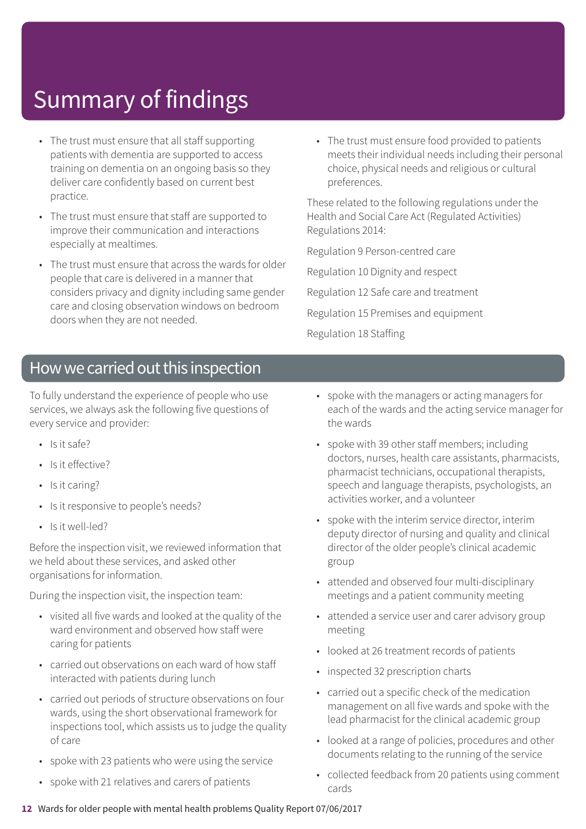- The trust must ensure that all staff supporting patients with dementia are supported to access training on dementia on an ongoing basis so they deliver care confidently based on current best practice.
- The trust must ensure that staff are supported to improve their communication and interactions especially at mealtimes.
- The trust must ensure that across the wards for older people that care is delivered in a manner that considers privacy and dignity including same gender care and closing observation windows on bedroom doors when they are not needed.
- The trust must ensure food provided to patients meets their individual needs including their personal choice, physical needs and religious or cultural preferences.

These related to the following regulations under the Health and Social Care Act (Regulated Activities) Regulations 2014:

Regulation 9 Person-centred care

Regulation 10 Dignity and respect

- Regulation 12 Safe care and treatment
- Regulation 15 Premises and equipment

Regulation 18 Staffing

### How we carried out this inspection

To fully understand the experience of people who use services, we always ask the following five questions of every service and provider:

- Is it safe?
- Is it effective?
- Is it caring?
- Is it responsive to people's needs?
- Is it well-led?

Before the inspection visit, we reviewed information that we held about these services, and asked other organisations for information.

During the inspection visit, the inspection team:

- visited all five wards and looked at the quality of the ward environment and observed how staff were caring for patients
- carried out observations on each ward of how staff interacted with patients during lunch
- carried out periods of structure observations on four wards, using the short observational framework for inspections tool, which assists us to judge the quality of care
- spoke with 23 patients who were using the service
- spoke with 21 relatives and carers of patients
- spoke with the managers or acting managers for each of the wards and the acting service manager for the wards
- spoke with 39 other staff members; including doctors, nurses, health care assistants, pharmacists, pharmacist technicians, occupational therapists, speech and language therapists, psychologists, an activities worker, and a volunteer
- spoke with the interim service director, interim deputy director of nursing and quality and clinical director of the older people's clinical academic group
- attended and observed four multi-disciplinary meetings and a patient community meeting
- attended a service user and carer advisory group meeting
- looked at 26 treatment records of patients
- inspected 32 prescription charts
- carried out a specific check of the medication management on all five wards and spoke with the lead pharmacist for the clinical academic group
- looked at a range of policies, procedures and other documents relating to the running of the service
- collected feedback from 20 patients using comment cards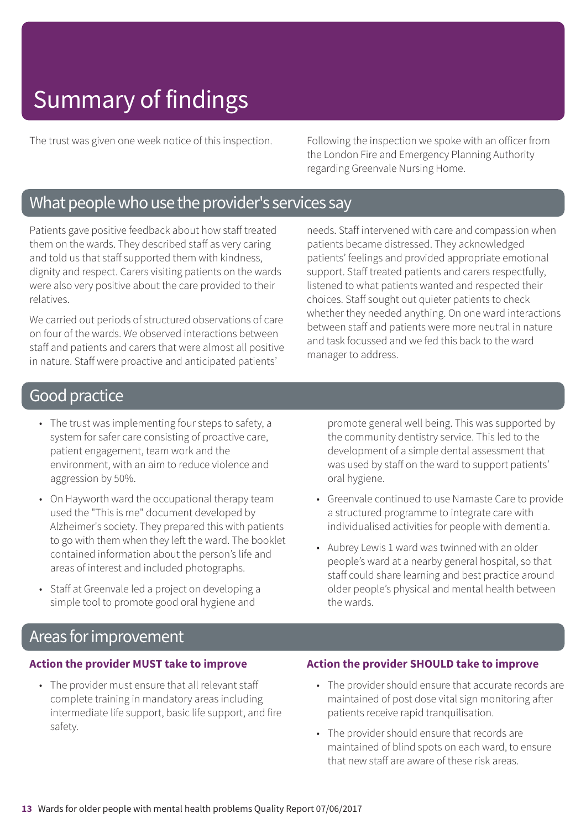The trust was given one week notice of this inspection. Following the inspection we spoke with an officer from the London Fire and Emergency Planning Authority regarding Greenvale Nursing Home.

### What people who use the provider's services say

Patients gave positive feedback about how staff treated them on the wards. They described staff as very caring and told us that staff supported them with kindness, dignity and respect. Carers visiting patients on the wards were also very positive about the care provided to their relatives.

We carried out periods of structured observations of care on four of the wards. We observed interactions between staff and patients and carers that were almost all positive in nature. Staff were proactive and anticipated patients'

needs. Staff intervened with care and compassion when patients became distressed. They acknowledged patients' feelings and provided appropriate emotional support. Staff treated patients and carers respectfully, listened to what patients wanted and respected their choices. Staff sought out quieter patients to check whether they needed anything. On one ward interactions between staff and patients were more neutral in nature and task focussed and we fed this back to the ward manager to address.

### Good practice

- The trust was implementing four steps to safety, a system for safer care consisting of proactive care, patient engagement, team work and the environment, with an aim to reduce violence and aggression by 50%.
- On Hayworth ward the occupational therapy team used the "This is me" document developed by Alzheimer's society. They prepared this with patients to go with them when they left the ward. The booklet contained information about the person's life and areas of interest and included photographs.
- Staff at Greenvale led a project on developing a simple tool to promote good oral hygiene and

promote general well being. This was supported by the community dentistry service. This led to the development of a simple dental assessment that was used by staff on the ward to support patients' oral hygiene.

- Greenvale continued to use Namaste Care to provide a structured programme to integrate care with individualised activities for people with dementia.
- Aubrey Lewis 1 ward was twinned with an older people's ward at a nearby general hospital, so that staff could share learning and best practice around older people's physical and mental health between the wards.

### Areas for improvement

#### **Action the provider MUST take to improve**

• The provider must ensure that all relevant staff complete training in mandatory areas including intermediate life support, basic life support, and fire safety.

#### **Action the provider SHOULD take to improve**

- The provider should ensure that accurate records are maintained of post dose vital sign monitoring after patients receive rapid tranquilisation.
- The provider should ensure that records are maintained of blind spots on each ward, to ensure that new staff are aware of these risk areas.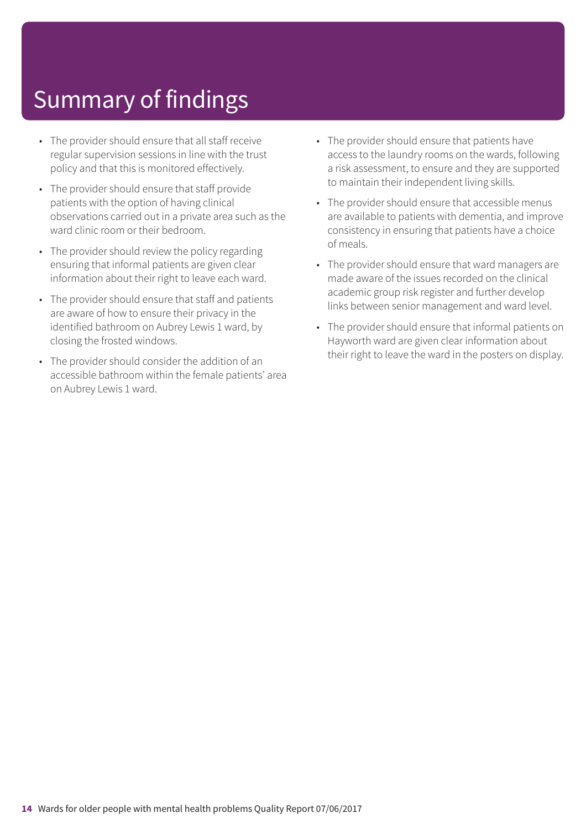- The provider should ensure that all staff receive regular supervision sessions in line with the trust policy and that this is monitored effectively.
- The provider should ensure that staff provide patients with the option of having clinical observations carried out in a private area such as the ward clinic room or their bedroom.
- The provider should review the policy regarding ensuring that informal patients are given clear information about their right to leave each ward.
- The provider should ensure that staff and patients are aware of how to ensure their privacy in the identified bathroom on Aubrey Lewis 1 ward, by closing the frosted windows.
- The provider should consider the addition of an accessible bathroom within the female patients' area on Aubrey Lewis 1 ward.
- The provider should ensure that patients have access to the laundry rooms on the wards, following a risk assessment, to ensure and they are supported to maintain their independent living skills.
- The provider should ensure that accessible menus are available to patients with dementia, and improve consistency in ensuring that patients have a choice of meals.
- The provider should ensure that ward managers are made aware of the issues recorded on the clinical academic group risk register and further develop links between senior management and ward level.
- The provider should ensure that informal patients on Hayworth ward are given clear information about their right to leave the ward in the posters on display.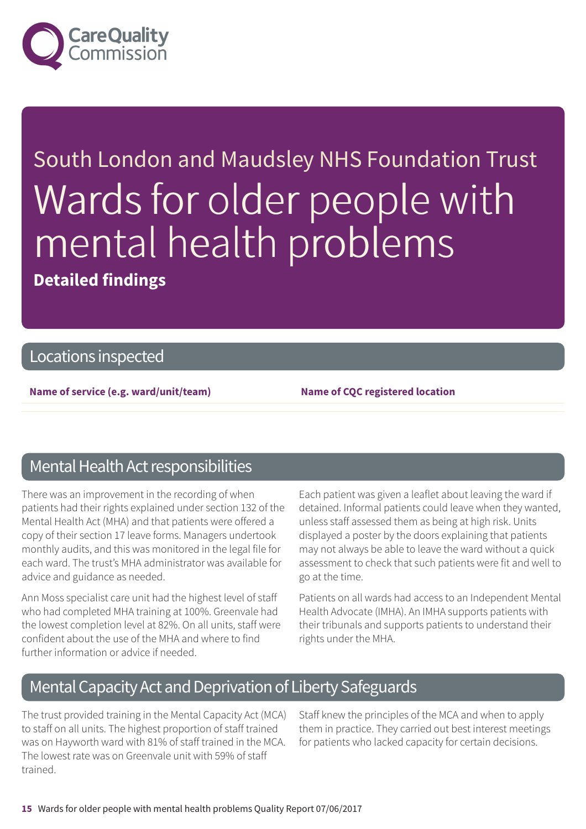

# South London and Maudsley NHS Foundation Trust Wards for older people with mental health problems **Detailed findings**

### Locations inspected

**Name of service (e.g. ward/unit/team) Name of CQC registered location**

### Mental Health Act responsibilities

There was an improvement in the recording of when patients had their rights explained under section 132 of the Mental Health Act (MHA) and that patients were offered a copy of their section 17 leave forms. Managers undertook monthly audits, and this was monitored in the legal file for each ward. The trust's MHA administrator was available for advice and guidance as needed.

Ann Moss specialist care unit had the highest level of staff who had completed MHA training at 100%. Greenvale had the lowest completion level at 82%. On all units, staff were confident about the use of the MHA and where to find further information or advice if needed.

Each patient was given a leaflet about leaving the ward if detained. Informal patients could leave when they wanted, unless staff assessed them as being at high risk. Units displayed a poster by the doors explaining that patients may not always be able to leave the ward without a quick assessment to check that such patients were fit and well to go at the time.

Patients on all wards had access to an Independent Mental Health Advocate (IMHA). An IMHA supports patients with their tribunals and supports patients to understand their rights under the MHA.

### Mental Capacity Act and Deprivation of Liberty Safeguards

The trust provided training in the Mental Capacity Act (MCA) to staff on all units. The highest proportion of staff trained was on Hayworth ward with 81% of staff trained in the MCA. The lowest rate was on Greenvale unit with 59% of staff trained.

Staff knew the principles of the MCA and when to apply them in practice. They carried out best interest meetings for patients who lacked capacity for certain decisions.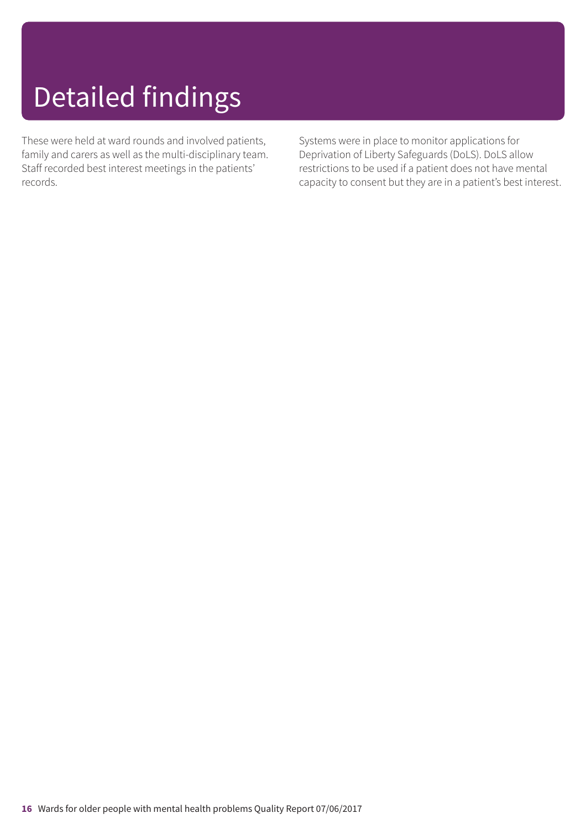# Detailed findings

These were held at ward rounds and involved patients, family and carers as well as the multi-disciplinary team. Staff recorded best interest meetings in the patients' records.

Systems were in place to monitor applications for Deprivation of Liberty Safeguards (DoLS). DoLS allow restrictions to be used if a patient does not have mental capacity to consent but they are in a patient's best interest.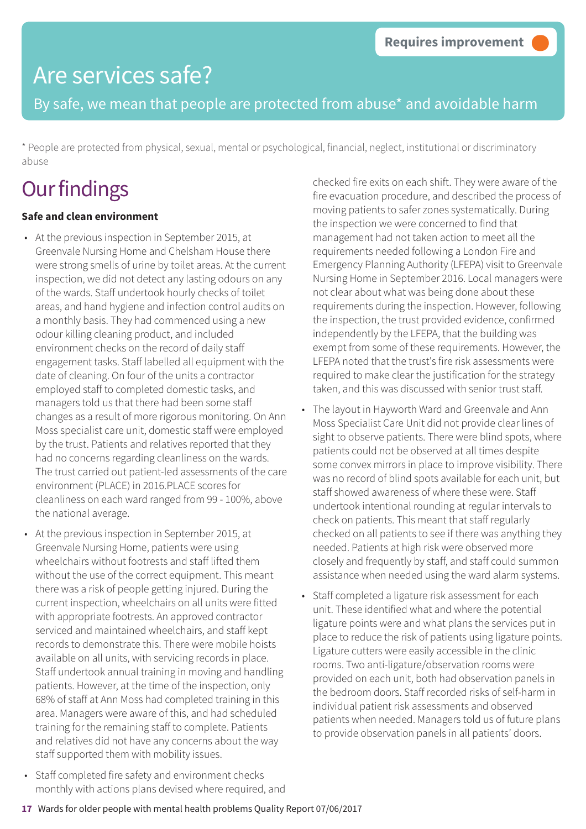By safe, we mean that people are protected from abuse\* and avoidable harm

\* People are protected from physical, sexual, mental or psychological, financial, neglect, institutional or discriminatory abuse

## **Our findings**

### **Safe and clean environment**

- At the previous inspection in September 2015, at Greenvale Nursing Home and Chelsham House there were strong smells of urine by toilet areas. At the current inspection, we did not detect any lasting odours on any of the wards. Staff undertook hourly checks of toilet areas, and hand hygiene and infection control audits on a monthly basis. They had commenced using a new odour killing cleaning product, and included environment checks on the record of daily staff engagement tasks. Staff labelled all equipment with the date of cleaning. On four of the units a contractor employed staff to completed domestic tasks, and managers told us that there had been some staff changes as a result of more rigorous monitoring. On Ann Moss specialist care unit, domestic staff were employed by the trust. Patients and relatives reported that they had no concerns regarding cleanliness on the wards. The trust carried out patient-led assessments of the care environment (PLACE) in 2016.PLACE scores for cleanliness on each ward ranged from 99 - 100%, above the national average.
- At the previous inspection in September 2015, at Greenvale Nursing Home, patients were using wheelchairs without footrests and staff lifted them without the use of the correct equipment. This meant there was a risk of people getting injured. During the current inspection, wheelchairs on all units were fitted with appropriate footrests. An approved contractor serviced and maintained wheelchairs, and staff kept records to demonstrate this. There were mobile hoists available on all units, with servicing records in place. Staff undertook annual training in moving and handling patients. However, at the time of the inspection, only 68% of staff at Ann Moss had completed training in this area. Managers were aware of this, and had scheduled training for the remaining staff to complete. Patients and relatives did not have any concerns about the way staff supported them with mobility issues.
- Staff completed fire safety and environment checks monthly with actions plans devised where required, and

checked fire exits on each shift. They were aware of the fire evacuation procedure, and described the process of moving patients to safer zones systematically. During the inspection we were concerned to find that management had not taken action to meet all the requirements needed following a London Fire and Emergency Planning Authority (LFEPA) visit to Greenvale Nursing Home in September 2016. Local managers were not clear about what was being done about these requirements during the inspection. However, following the inspection, the trust provided evidence, confirmed independently by the LFEPA, that the building was exempt from some of these requirements. However, the LFEPA noted that the trust's fire risk assessments were required to make clear the justification for the strategy taken, and this was discussed with senior trust staff.

- The layout in Hayworth Ward and Greenvale and Ann Moss Specialist Care Unit did not provide clear lines of sight to observe patients. There were blind spots, where patients could not be observed at all times despite some convex mirrors in place to improve visibility. There was no record of blind spots available for each unit, but staff showed awareness of where these were. Staff undertook intentional rounding at regular intervals to check on patients. This meant that staff regularly checked on all patients to see if there was anything they needed. Patients at high risk were observed more closely and frequently by staff, and staff could summon assistance when needed using the ward alarm systems.
- Staff completed a ligature risk assessment for each unit. These identified what and where the potential ligature points were and what plans the services put in place to reduce the risk of patients using ligature points. Ligature cutters were easily accessible in the clinic rooms. Two anti-ligature/observation rooms were provided on each unit, both had observation panels in the bedroom doors. Staff recorded risks of self-harm in individual patient risk assessments and observed patients when needed. Managers told us of future plans to provide observation panels in all patients' doors.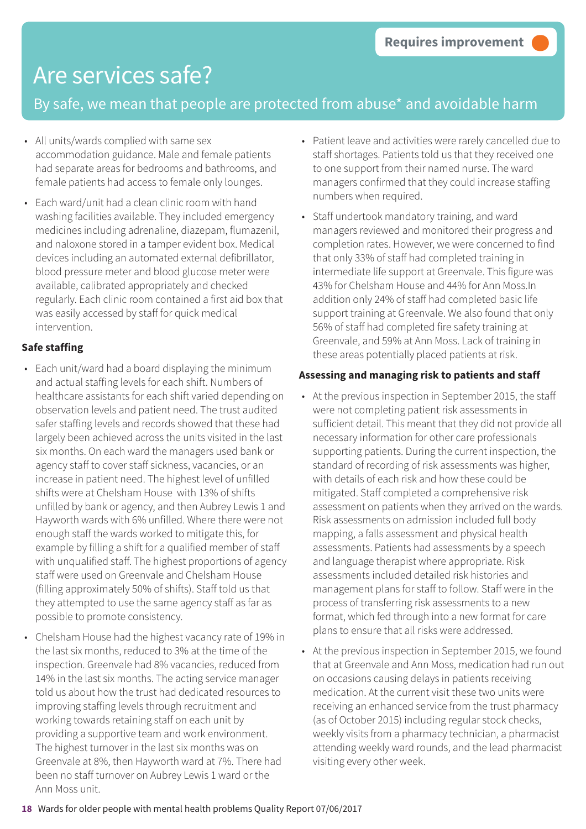### By safe, we mean that people are protected from abuse\* and avoidable harm

- All units/wards complied with same sex accommodation guidance. Male and female patients had separate areas for bedrooms and bathrooms, and female patients had access to female only lounges.
- Each ward/unit had a clean clinic room with hand washing facilities available. They included emergency medicines including adrenaline, diazepam, flumazenil, and naloxone stored in a tamper evident box. Medical devices including an automated external defibrillator, blood pressure meter and blood glucose meter were available, calibrated appropriately and checked regularly. Each clinic room contained a first aid box that was easily accessed by staff for quick medical intervention.

### **Safe staffing**

- Each unit/ward had a board displaying the minimum and actual staffing levels for each shift. Numbers of healthcare assistants for each shift varied depending on observation levels and patient need. The trust audited safer staffing levels and records showed that these had largely been achieved across the units visited in the last six months. On each ward the managers used bank or agency staff to cover staff sickness, vacancies, or an increase in patient need. The highest level of unfilled shifts were at Chelsham House with 13% of shifts unfilled by bank or agency, and then Aubrey Lewis 1 and Hayworth wards with 6% unfilled. Where there were not enough staff the wards worked to mitigate this, for example by filling a shift for a qualified member of staff with unqualified staff. The highest proportions of agency staff were used on Greenvale and Chelsham House (filling approximately 50% of shifts). Staff told us that they attempted to use the same agency staff as far as possible to promote consistency.
- Chelsham House had the highest vacancy rate of 19% in the last six months, reduced to 3% at the time of the inspection. Greenvale had 8% vacancies, reduced from 14% in the last six months. The acting service manager told us about how the trust had dedicated resources to improving staffing levels through recruitment and working towards retaining staff on each unit by providing a supportive team and work environment. The highest turnover in the last six months was on Greenvale at 8%, then Hayworth ward at 7%. There had been no staff turnover on Aubrey Lewis 1 ward or the Ann Moss unit.
- Patient leave and activities were rarely cancelled due to staff shortages. Patients told us that they received one to one support from their named nurse. The ward managers confirmed that they could increase staffing numbers when required.
- Staff undertook mandatory training, and ward managers reviewed and monitored their progress and completion rates. However, we were concerned to find that only 33% of staff had completed training in intermediate life support at Greenvale. This figure was 43% for Chelsham House and 44% for Ann Moss.In addition only 24% of staff had completed basic life support training at Greenvale. We also found that only 56% of staff had completed fire safety training at Greenvale, and 59% at Ann Moss. Lack of training in these areas potentially placed patients at risk.

### **Assessing and managing risk to patients and staff**

- At the previous inspection in September 2015, the staff were not completing patient risk assessments in sufficient detail. This meant that they did not provide all necessary information for other care professionals supporting patients. During the current inspection, the standard of recording of risk assessments was higher, with details of each risk and how these could be mitigated. Staff completed a comprehensive risk assessment on patients when they arrived on the wards. Risk assessments on admission included full body mapping, a falls assessment and physical health assessments. Patients had assessments by a speech and language therapist where appropriate. Risk assessments included detailed risk histories and management plans for staff to follow. Staff were in the process of transferring risk assessments to a new format, which fed through into a new format for care plans to ensure that all risks were addressed.
- At the previous inspection in September 2015, we found that at Greenvale and Ann Moss, medication had run out on occasions causing delays in patients receiving medication. At the current visit these two units were receiving an enhanced service from the trust pharmacy (as of October 2015) including regular stock checks, weekly visits from a pharmacy technician, a pharmacist attending weekly ward rounds, and the lead pharmacist visiting every other week.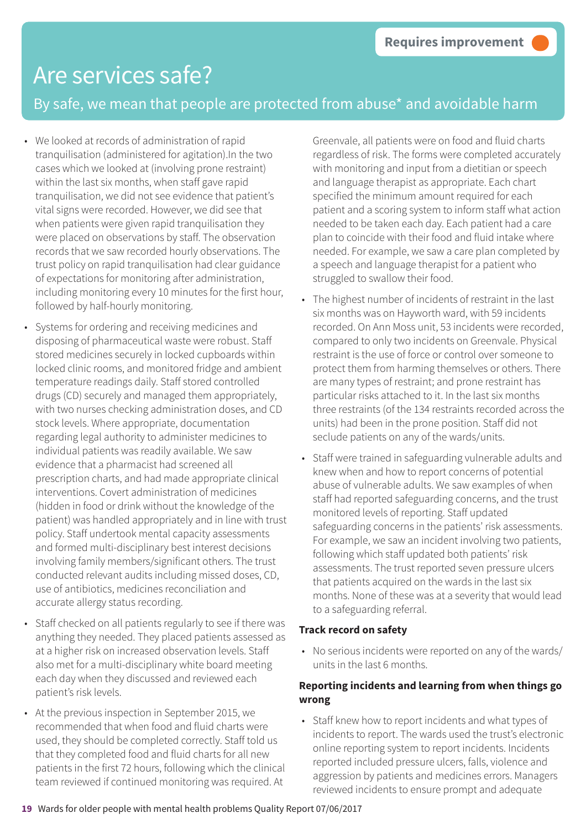### By safe, we mean that people are protected from abuse\* and avoidable harm

- We looked at records of administration of rapid tranquilisation (administered for agitation).In the two cases which we looked at (involving prone restraint) within the last six months, when staff gave rapid tranquilisation, we did not see evidence that patient's vital signs were recorded. However, we did see that when patients were given rapid tranquilisation they were placed on observations by staff. The observation records that we saw recorded hourly observations. The trust policy on rapid tranquilisation had clear guidance of expectations for monitoring after administration, including monitoring every 10 minutes for the first hour, followed by half-hourly monitoring.
- Systems for ordering and receiving medicines and disposing of pharmaceutical waste were robust. Staff stored medicines securely in locked cupboards within locked clinic rooms, and monitored fridge and ambient temperature readings daily. Staff stored controlled drugs (CD) securely and managed them appropriately, with two nurses checking administration doses, and CD stock levels. Where appropriate, documentation regarding legal authority to administer medicines to individual patients was readily available. We saw evidence that a pharmacist had screened all prescription charts, and had made appropriate clinical interventions. Covert administration of medicines (hidden in food or drink without the knowledge of the patient) was handled appropriately and in line with trust policy. Staff undertook mental capacity assessments and formed multi-disciplinary best interest decisions involving family members/significant others. The trust conducted relevant audits including missed doses, CD, use of antibiotics, medicines reconciliation and accurate allergy status recording.
- Staff checked on all patients regularly to see if there was anything they needed. They placed patients assessed as at a higher risk on increased observation levels. Staff also met for a multi-disciplinary white board meeting each day when they discussed and reviewed each patient's risk levels.
- At the previous inspection in September 2015, we recommended that when food and fluid charts were used, they should be completed correctly. Staff told us that they completed food and fluid charts for all new patients in the first 72 hours, following which the clinical team reviewed if continued monitoring was required. At

Greenvale, all patients were on food and fluid charts regardless of risk. The forms were completed accurately with monitoring and input from a dietitian or speech and language therapist as appropriate. Each chart specified the minimum amount required for each patient and a scoring system to inform staff what action needed to be taken each day. Each patient had a care plan to coincide with their food and fluid intake where needed. For example, we saw a care plan completed by a speech and language therapist for a patient who struggled to swallow their food.

- The highest number of incidents of restraint in the last six months was on Hayworth ward, with 59 incidents recorded. On Ann Moss unit, 53 incidents were recorded, compared to only two incidents on Greenvale. Physical restraint is the use of force or control over someone to protect them from harming themselves or others. There are many types of restraint; and prone restraint has particular risks attached to it. In the last six months three restraints (of the 134 restraints recorded across the units) had been in the prone position. Staff did not seclude patients on any of the wards/units.
- Staff were trained in safeguarding vulnerable adults and knew when and how to report concerns of potential abuse of vulnerable adults. We saw examples of when staff had reported safeguarding concerns, and the trust monitored levels of reporting. Staff updated safeguarding concerns in the patients' risk assessments. For example, we saw an incident involving two patients, following which staff updated both patients' risk assessments. The trust reported seven pressure ulcers that patients acquired on the wards in the last six months. None of these was at a severity that would lead to a safeguarding referral.

#### **Track record on safety**

• No serious incidents were reported on any of the wards/ units in the last 6 months.

### **Reporting incidents and learning from when things go wrong**

• Staff knew how to report incidents and what types of incidents to report. The wards used the trust's electronic online reporting system to report incidents. Incidents reported included pressure ulcers, falls, violence and aggression by patients and medicines errors. Managers reviewed incidents to ensure prompt and adequate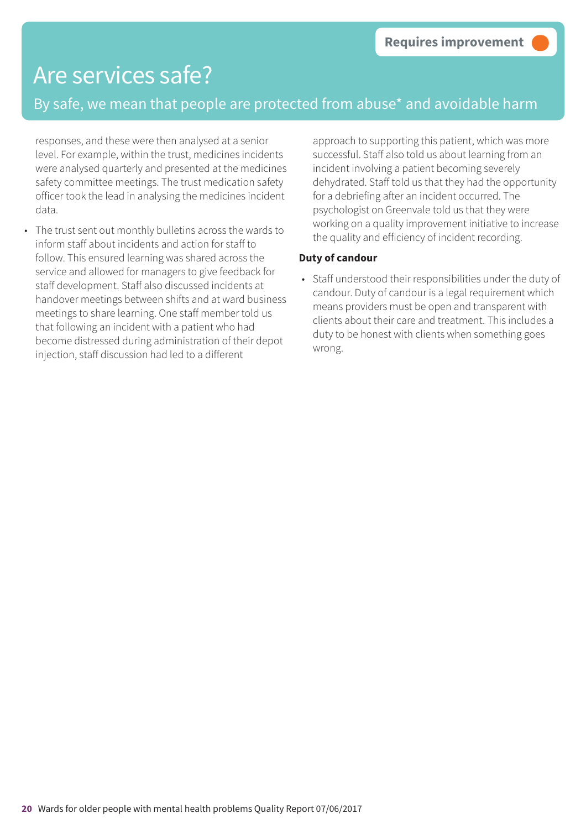### By safe, we mean that people are protected from abuse\* and avoidable harm

responses, and these were then analysed at a senior level. For example, within the trust, medicines incidents were analysed quarterly and presented at the medicines safety committee meetings. The trust medication safety officer took the lead in analysing the medicines incident data.

• The trust sent out monthly bulletins across the wards to inform staff about incidents and action for staff to follow. This ensured learning was shared across the service and allowed for managers to give feedback for staff development. Staff also discussed incidents at handover meetings between shifts and at ward business meetings to share learning. One staff member told us that following an incident with a patient who had become distressed during administration of their depot injection, staff discussion had led to a different

approach to supporting this patient, which was more successful. Staff also told us about learning from an incident involving a patient becoming severely dehydrated. Staff told us that they had the opportunity for a debriefing after an incident occurred. The psychologist on Greenvale told us that they were working on a quality improvement initiative to increase the quality and efficiency of incident recording.

### **Duty of candour**

• Staff understood their responsibilities under the duty of candour. Duty of candour is a legal requirement which means providers must be open and transparent with clients about their care and treatment. This includes a duty to be honest with clients when something goes wrong.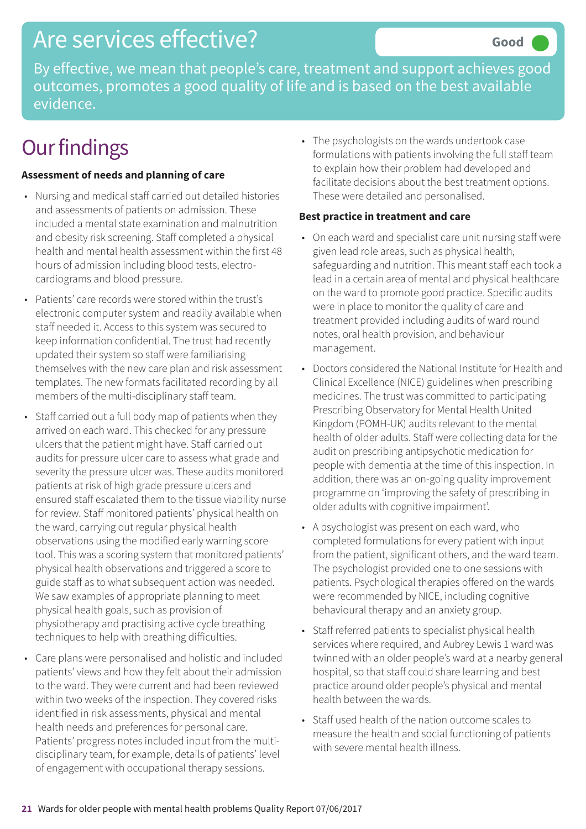By effective, we mean that people's care, treatment and support achieves good outcomes, promotes a good quality of life and is based on the best available evidence.

## **Our findings**

### **Assessment of needs and planning of care**

- Nursing and medical staff carried out detailed histories and assessments of patients on admission. These included a mental state examination and malnutrition and obesity risk screening. Staff completed a physical health and mental health assessment within the first 48 hours of admission including blood tests, electrocardiograms and blood pressure.
- Patients' care records were stored within the trust's electronic computer system and readily available when staff needed it. Access to this system was secured to keep information confidential. The trust had recently updated their system so staff were familiarising themselves with the new care plan and risk assessment templates. The new formats facilitated recording by all members of the multi-disciplinary staff team.
- Staff carried out a full body map of patients when they arrived on each ward. This checked for any pressure ulcers that the patient might have. Staff carried out audits for pressure ulcer care to assess what grade and severity the pressure ulcer was. These audits monitored patients at risk of high grade pressure ulcers and ensured staff escalated them to the tissue viability nurse for review. Staff monitored patients' physical health on the ward, carrying out regular physical health observations using the modified early warning score tool. This was a scoring system that monitored patients' physical health observations and triggered a score to guide staff as to what subsequent action was needed. We saw examples of appropriate planning to meet physical health goals, such as provision of physiotherapy and practising active cycle breathing techniques to help with breathing difficulties.
- Care plans were personalised and holistic and included patients' views and how they felt about their admission to the ward. They were current and had been reviewed within two weeks of the inspection. They covered risks identified in risk assessments, physical and mental health needs and preferences for personal care. Patients' progress notes included input from the multidisciplinary team, for example, details of patients' level of engagement with occupational therapy sessions.

• The psychologists on the wards undertook case formulations with patients involving the full staff team to explain how their problem had developed and facilitate decisions about the best treatment options. These were detailed and personalised.

#### **Best practice in treatment and care**

- On each ward and specialist care unit nursing staff were given lead role areas, such as physical health, safeguarding and nutrition. This meant staff each took a lead in a certain area of mental and physical healthcare on the ward to promote good practice. Specific audits were in place to monitor the quality of care and treatment provided including audits of ward round notes, oral health provision, and behaviour management.
- Doctors considered the National Institute for Health and Clinical Excellence (NICE) guidelines when prescribing medicines. The trust was committed to participating Prescribing Observatory for Mental Health United Kingdom (POMH-UK) audits relevant to the mental health of older adults. Staff were collecting data for the audit on prescribing antipsychotic medication for people with dementia at the time of this inspection. In addition, there was an on-going quality improvement programme on 'improving the safety of prescribing in older adults with cognitive impairment'.
- A psychologist was present on each ward, who completed formulations for every patient with input from the patient, significant others, and the ward team. The psychologist provided one to one sessions with patients. Psychological therapies offered on the wards were recommended by NICE, including cognitive behavioural therapy and an anxiety group.
- Staff referred patients to specialist physical health services where required, and Aubrey Lewis 1 ward was twinned with an older people's ward at a nearby general hospital, so that staff could share learning and best practice around older people's physical and mental health between the wards.
- Staff used health of the nation outcome scales to measure the health and social functioning of patients with severe mental health illness.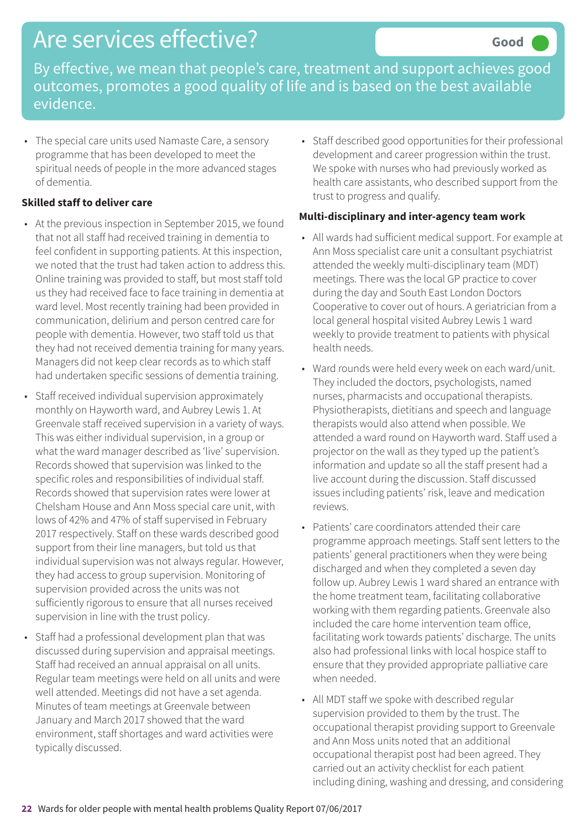By effective, we mean that people's care, treatment and support achieves good outcomes, promotes a good quality of life and is based on the best available evidence.

• The special care units used Namaste Care, a sensory programme that has been developed to meet the spiritual needs of people in the more advanced stages of dementia.

#### **Skilled staff to deliver care**

- At the previous inspection in September 2015, we found that not all staff had received training in dementia to feel confident in supporting patients. At this inspection, we noted that the trust had taken action to address this. Online training was provided to staff, but most staff told us they had received face to face training in dementia at ward level. Most recently training had been provided in communication, delirium and person centred care for people with dementia. However, two staff told us that they had not received dementia training for many years. Managers did not keep clear records as to which staff had undertaken specific sessions of dementia training.
- Staff received individual supervision approximately monthly on Hayworth ward, and Aubrey Lewis 1. At Greenvale staff received supervision in a variety of ways. This was either individual supervision, in a group or what the ward manager described as 'live' supervision. Records showed that supervision was linked to the specific roles and responsibilities of individual staff. Records showed that supervision rates were lower at Chelsham House and Ann Moss special care unit, with lows of 42% and 47% of staff supervised in February 2017 respectively. Staff on these wards described good support from their line managers, but told us that individual supervision was not always regular. However, they had access to group supervision. Monitoring of supervision provided across the units was not sufficiently rigorous to ensure that all nurses received supervision in line with the trust policy.
- Staff had a professional development plan that was discussed during supervision and appraisal meetings. Staff had received an annual appraisal on all units. Regular team meetings were held on all units and were well attended. Meetings did not have a set agenda. Minutes of team meetings at Greenvale between January and March 2017 showed that the ward environment, staff shortages and ward activities were typically discussed.

• Staff described good opportunities for their professional development and career progression within the trust. We spoke with nurses who had previously worked as health care assistants, who described support from the trust to progress and qualify.

### **Multi-disciplinary and inter-agency team work**

- All wards had sufficient medical support. For example at Ann Moss specialist care unit a consultant psychiatrist attended the weekly multi-disciplinary team (MDT) meetings. There was the local GP practice to cover during the day and South East London Doctors Cooperative to cover out of hours. A geriatrician from a local general hospital visited Aubrey Lewis 1 ward weekly to provide treatment to patients with physical health needs.
- Ward rounds were held every week on each ward/unit. They included the doctors, psychologists, named nurses, pharmacists and occupational therapists. Physiotherapists, dietitians and speech and language therapists would also attend when possible. We attended a ward round on Hayworth ward. Staff used a projector on the wall as they typed up the patient's information and update so all the staff present had a live account during the discussion. Staff discussed issues including patients' risk, leave and medication reviews.
- Patients' care coordinators attended their care programme approach meetings. Staff sent letters to the patients' general practitioners when they were being discharged and when they completed a seven day follow up. Aubrey Lewis 1 ward shared an entrance with the home treatment team, facilitating collaborative working with them regarding patients. Greenvale also included the care home intervention team office, facilitating work towards patients' discharge. The units also had professional links with local hospice staff to ensure that they provided appropriate palliative care when needed.
- All MDT staff we spoke with described regular supervision provided to them by the trust. The occupational therapist providing support to Greenvale and Ann Moss units noted that an additional occupational therapist post had been agreed. They carried out an activity checklist for each patient including dining, washing and dressing, and considering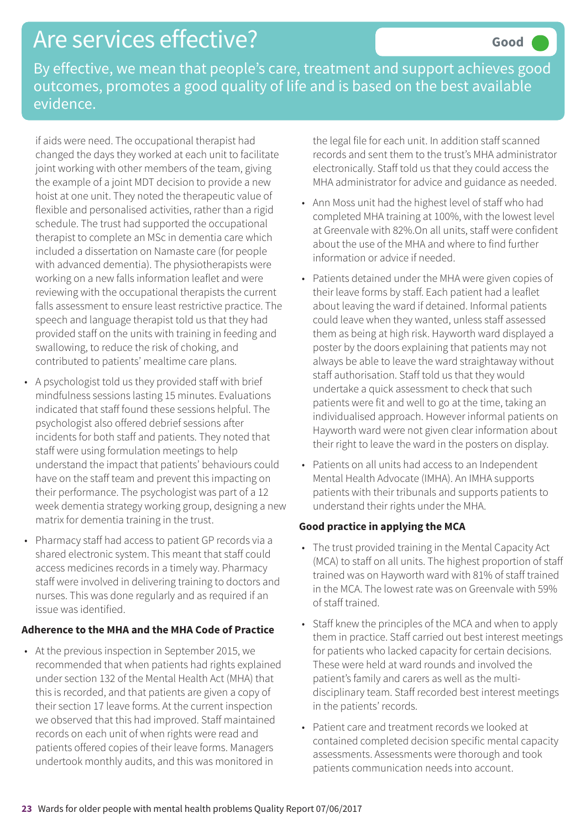By effective, we mean that people's care, treatment and support achieves good outcomes, promotes a good quality of life and is based on the best available evidence.

if aids were need. The occupational therapist had changed the days they worked at each unit to facilitate joint working with other members of the team, giving the example of a joint MDT decision to provide a new hoist at one unit. They noted the therapeutic value of flexible and personalised activities, rather than a rigid schedule. The trust had supported the occupational therapist to complete an MSc in dementia care which included a dissertation on Namaste care (for people with advanced dementia). The physiotherapists were working on a new falls information leaflet and were reviewing with the occupational therapists the current falls assessment to ensure least restrictive practice. The speech and language therapist told us that they had provided staff on the units with training in feeding and swallowing, to reduce the risk of choking, and contributed to patients' mealtime care plans.

- A psychologist told us they provided staff with brief mindfulness sessions lasting 15 minutes. Evaluations indicated that staff found these sessions helpful. The psychologist also offered debrief sessions after incidents for both staff and patients. They noted that staff were using formulation meetings to help understand the impact that patients' behaviours could have on the staff team and prevent this impacting on their performance. The psychologist was part of a 12 week dementia strategy working group, designing a new matrix for dementia training in the trust.
- Pharmacy staff had access to patient GP records via a shared electronic system. This meant that staff could access medicines records in a timely way. Pharmacy staff were involved in delivering training to doctors and nurses. This was done regularly and as required if an issue was identified.

#### **Adherence to the MHA and the MHA Code of Practice**

• At the previous inspection in September 2015, we recommended that when patients had rights explained under section 132 of the Mental Health Act (MHA) that this is recorded, and that patients are given a copy of their section 17 leave forms. At the current inspection we observed that this had improved. Staff maintained records on each unit of when rights were read and patients offered copies of their leave forms. Managers undertook monthly audits, and this was monitored in

the legal file for each unit. In addition staff scanned records and sent them to the trust's MHA administrator electronically. Staff told us that they could access the MHA administrator for advice and guidance as needed.

- Ann Moss unit had the highest level of staff who had completed MHA training at 100%, with the lowest level at Greenvale with 82%.On all units, staff were confident about the use of the MHA and where to find further information or advice if needed.
- Patients detained under the MHA were given copies of their leave forms by staff. Each patient had a leaflet about leaving the ward if detained. Informal patients could leave when they wanted, unless staff assessed them as being at high risk. Hayworth ward displayed a poster by the doors explaining that patients may not always be able to leave the ward straightaway without staff authorisation. Staff told us that they would undertake a quick assessment to check that such patients were fit and well to go at the time, taking an individualised approach. However informal patients on Hayworth ward were not given clear information about their right to leave the ward in the posters on display.
- Patients on all units had access to an Independent Mental Health Advocate (IMHA). An IMHA supports patients with their tribunals and supports patients to understand their rights under the MHA.

### **Good practice in applying the MCA**

- The trust provided training in the Mental Capacity Act (MCA) to staff on all units. The highest proportion of staff trained was on Hayworth ward with 81% of staff trained in the MCA. The lowest rate was on Greenvale with 59% of staff trained.
- Staff knew the principles of the MCA and when to apply them in practice. Staff carried out best interest meetings for patients who lacked capacity for certain decisions. These were held at ward rounds and involved the patient's family and carers as well as the multidisciplinary team. Staff recorded best interest meetings in the patients' records.
- Patient care and treatment records we looked at contained completed decision specific mental capacity assessments. Assessments were thorough and took patients communication needs into account.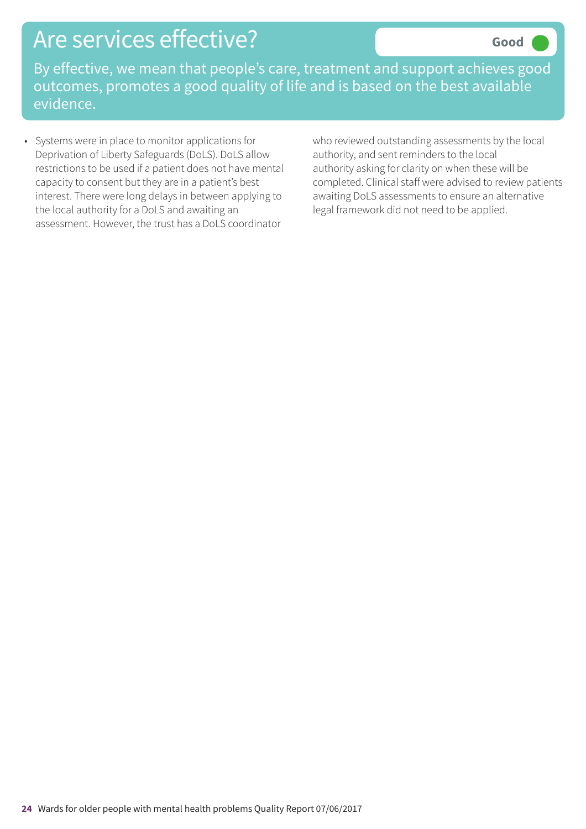By effective, we mean that people's care, treatment and support achieves good outcomes, promotes a good quality of life and is based on the best available evidence.

• Systems were in place to monitor applications for Deprivation of Liberty Safeguards (DoLS). DoLS allow restrictions to be used if a patient does not have mental capacity to consent but they are in a patient's best interest. There were long delays in between applying to the local authority for a DoLS and awaiting an assessment. However, the trust has a DoLS coordinator

who reviewed outstanding assessments by the local authority, and sent reminders to the local authority asking for clarity on when these will be completed. Clinical staff were advised to review patients awaiting DoLS assessments to ensure an alternative legal framework did not need to be applied.

**Good –––**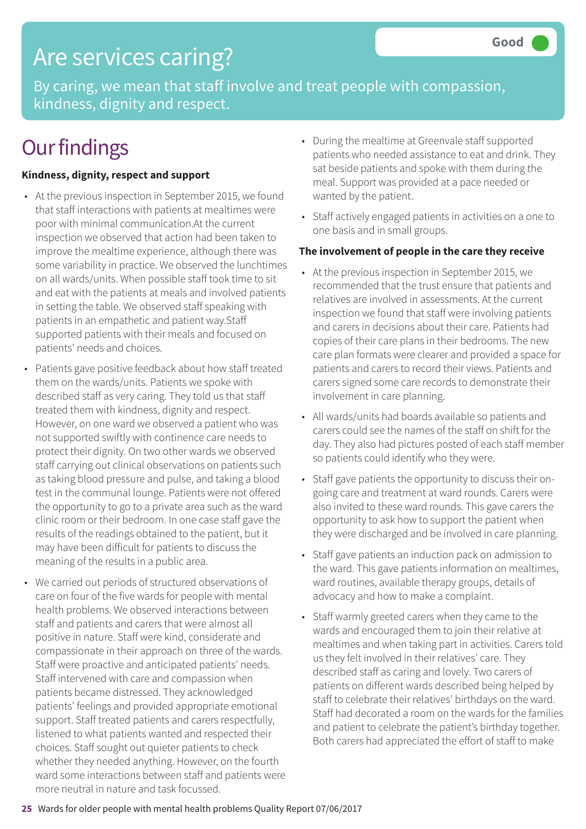## Are services caring?

By caring, we mean that staff involve and treat people with compassion, kindness, dignity and respect.

## **Our findings**

### **Kindness, dignity, respect and support**

- At the previous inspection in September 2015, we found that staff interactions with patients at mealtimes were poor with minimal communication.At the current inspection we observed that action had been taken to improve the mealtime experience, although there was some variability in practice. We observed the lunchtimes on all wards/units. When possible staff took time to sit and eat with the patients at meals and involved patients in setting the table. We observed staff speaking with patients in an empathetic and patient way.Staff supported patients with their meals and focused on patients' needs and choices.
- Patients gave positive feedback about how staff treated them on the wards/units. Patients we spoke with described staff as very caring. They told us that staff treated them with kindness, dignity and respect. However, on one ward we observed a patient who was not supported swiftly with continence care needs to protect their dignity. On two other wards we observed staff carrying out clinical observations on patients such as taking blood pressure and pulse, and taking a blood test in the communal lounge. Patients were not offered the opportunity to go to a private area such as the ward clinic room or their bedroom. In one case staff gave the results of the readings obtained to the patient, but it may have been difficult for patients to discuss the meaning of the results in a public area.
- We carried out periods of structured observations of care on four of the five wards for people with mental health problems. We observed interactions between staff and patients and carers that were almost all positive in nature. Staff were kind, considerate and compassionate in their approach on three of the wards. Staff were proactive and anticipated patients' needs. Staff intervened with care and compassion when patients became distressed. They acknowledged patients' feelings and provided appropriate emotional support. Staff treated patients and carers respectfully, listened to what patients wanted and respected their choices. Staff sought out quieter patients to check whether they needed anything. However, on the fourth ward some interactions between staff and patients were more neutral in nature and task focussed.
- During the mealtime at Greenvale staff supported patients who needed assistance to eat and drink. They sat beside patients and spoke with them during the meal. Support was provided at a pace needed or wanted by the patient.
- Staff actively engaged patients in activities on a one to one basis and in small groups.

#### **The involvement of people in the care they receive**

- At the previous inspection in September 2015, we recommended that the trust ensure that patients and relatives are involved in assessments. At the current inspection we found that staff were involving patients and carers in decisions about their care. Patients had copies of their care plans in their bedrooms. The new care plan formats were clearer and provided a space for patients and carers to record their views. Patients and carers signed some care records to demonstrate their involvement in care planning.
- All wards/units had boards available so patients and carers could see the names of the staff on shift for the day. They also had pictures posted of each staff member so patients could identify who they were.
- Staff gave patients the opportunity to discuss their ongoing care and treatment at ward rounds. Carers were also invited to these ward rounds. This gave carers the opportunity to ask how to support the patient when they were discharged and be involved in care planning.
- Staff gave patients an induction pack on admission to the ward. This gave patients information on mealtimes, ward routines, available therapy groups, details of advocacy and how to make a complaint.
- Staff warmly greeted carers when they came to the wards and encouraged them to join their relative at mealtimes and when taking part in activities. Carers told us they felt involved in their relatives' care. They described staff as caring and lovely. Two carers of patients on different wards described being helped by staff to celebrate their relatives' birthdays on the ward. Staff had decorated a room on the wards for the families and patient to celebrate the patient's birthday together. Both carers had appreciated the effort of staff to make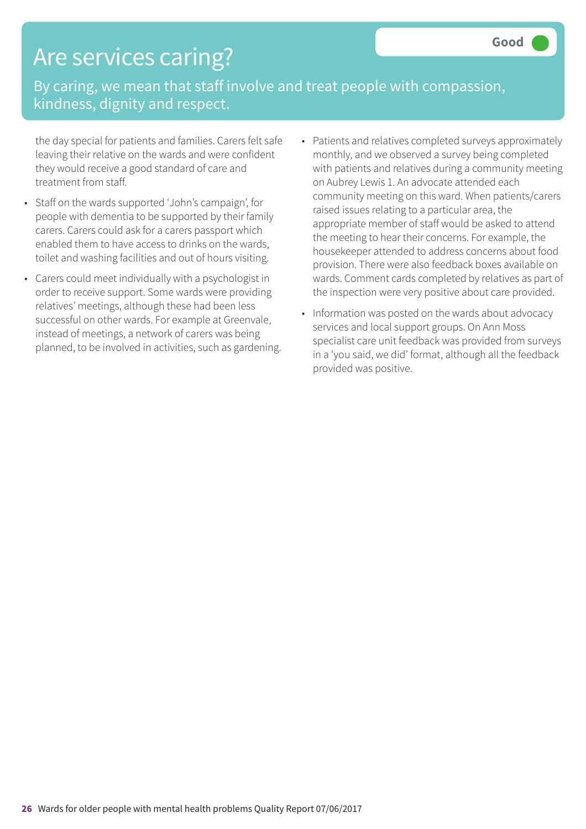## Are services caring?

By caring, we mean that staff involve and treat people with compassion, kindness, dignity and respect.

the day special for patients and families. Carers felt safe leaving their relative on the wards and were confident they would receive a good standard of care and treatment from staff.

- Staff on the wards supported 'John's campaign', for people with dementia to be supported by their family carers. Carers could ask for a carers passport which enabled them to have access to drinks on the wards, toilet and washing facilities and out of hours visiting.
- Carers could meet individually with a psychologist in order to receive support. Some wards were providing relatives' meetings, although these had been less successful on other wards. For example at Greenvale, instead of meetings, a network of carers was being planned, to be involved in activities, such as gardening.
- Patients and relatives completed surveys approximately monthly, and we observed a survey being completed with patients and relatives during a community meeting on Aubrey Lewis 1. An advocate attended each community meeting on this ward. When patients/carers raised issues relating to a particular area, the appropriate member of staff would be asked to attend the meeting to hear their concerns. For example, the housekeeper attended to address concerns about food provision. There were also feedback boxes available on wards. Comment cards completed by relatives as part of the inspection were very positive about care provided.
- Information was posted on the wards about advocacy services and local support groups. On Ann Moss specialist care unit feedback was provided from surveys in a 'you said, we did' format, although all the feedback provided was positive.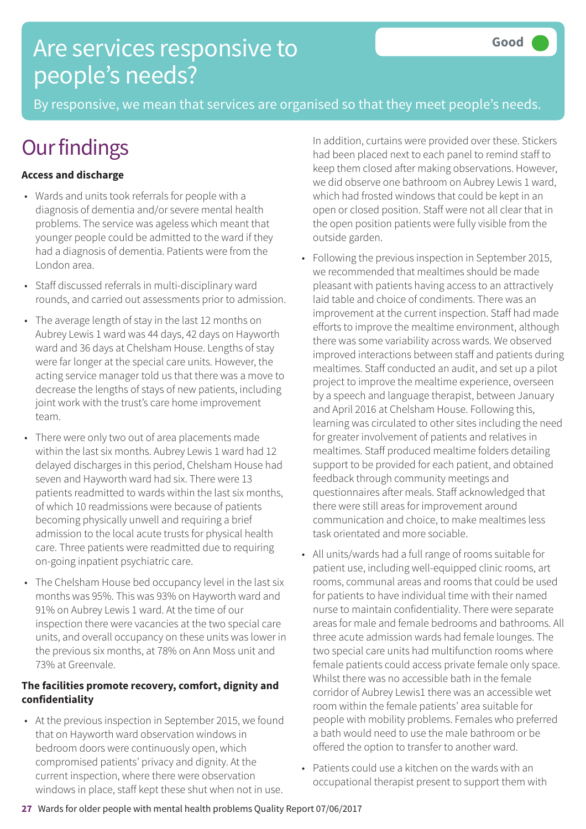## Are services responsive to people's needs?

By responsive, we mean that services are organised so that they meet people's needs.

## **Our findings**

### **Access and discharge**

- Wards and units took referrals for people with a diagnosis of dementia and/or severe mental health problems. The service was ageless which meant that younger people could be admitted to the ward if they had a diagnosis of dementia. Patients were from the London area.
- Staff discussed referrals in multi-disciplinary ward rounds, and carried out assessments prior to admission.
- The average length of stay in the last 12 months on Aubrey Lewis 1 ward was 44 days, 42 days on Hayworth ward and 36 days at Chelsham House. Lengths of stay were far longer at the special care units. However, the acting service manager told us that there was a move to decrease the lengths of stays of new patients, including joint work with the trust's care home improvement team.
- There were only two out of area placements made within the last six months. Aubrey Lewis 1 ward had 12 delayed discharges in this period, Chelsham House had seven and Hayworth ward had six. There were 13 patients readmitted to wards within the last six months, of which 10 readmissions were because of patients becoming physically unwell and requiring a brief admission to the local acute trusts for physical health care. Three patients were readmitted due to requiring on-going inpatient psychiatric care.
- The Chelsham House bed occupancy level in the last six months was 95%. This was 93% on Hayworth ward and 91% on Aubrey Lewis 1 ward. At the time of our inspection there were vacancies at the two special care units, and overall occupancy on these units was lower in the previous six months, at 78% on Ann Moss unit and 73% at Greenvale.

### **The facilities promote recovery, comfort, dignity and confidentiality**

• At the previous inspection in September 2015, we found that on Hayworth ward observation windows in bedroom doors were continuously open, which compromised patients' privacy and dignity. At the current inspection, where there were observation windows in place, staff kept these shut when not in use.

In addition, curtains were provided over these. Stickers had been placed next to each panel to remind staff to keep them closed after making observations. However, we did observe one bathroom on Aubrey Lewis 1 ward, which had frosted windows that could be kept in an open or closed position. Staff were not all clear that in the open position patients were fully visible from the outside garden.

- Following the previous inspection in September 2015, we recommended that mealtimes should be made pleasant with patients having access to an attractively laid table and choice of condiments. There was an improvement at the current inspection. Staff had made efforts to improve the mealtime environment, although there was some variability across wards. We observed improved interactions between staff and patients during mealtimes. Staff conducted an audit, and set up a pilot project to improve the mealtime experience, overseen by a speech and language therapist, between January and April 2016 at Chelsham House. Following this, learning was circulated to other sites including the need for greater involvement of patients and relatives in mealtimes. Staff produced mealtime folders detailing support to be provided for each patient, and obtained feedback through community meetings and questionnaires after meals. Staff acknowledged that there were still areas for improvement around communication and choice, to make mealtimes less task orientated and more sociable.
- All units/wards had a full range of rooms suitable for patient use, including well-equipped clinic rooms, art rooms, communal areas and rooms that could be used for patients to have individual time with their named nurse to maintain confidentiality. There were separate areas for male and female bedrooms and bathrooms. All three acute admission wards had female lounges. The two special care units had multifunction rooms where female patients could access private female only space. Whilst there was no accessible bath in the female corridor of Aubrey Lewis1 there was an accessible wet room within the female patients' area suitable for people with mobility problems. Females who preferred a bath would need to use the male bathroom or be offered the option to transfer to another ward.
- Patients could use a kitchen on the wards with an occupational therapist present to support them with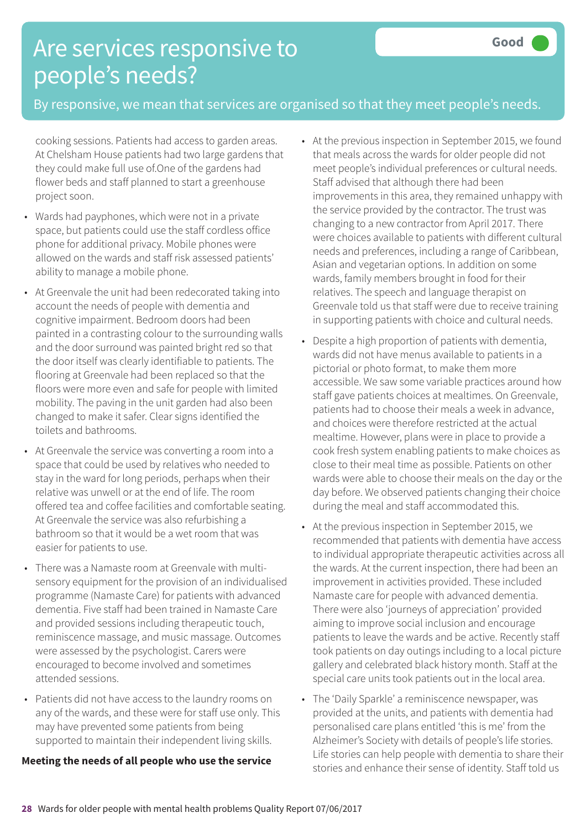## Are services responsive to people's needs?

### By responsive, we mean that services are organised so that they meet people's needs.

cooking sessions. Patients had access to garden areas. At Chelsham House patients had two large gardens that they could make full use of.One of the gardens had flower beds and staff planned to start a greenhouse project soon.

- Wards had payphones, which were not in a private space, but patients could use the staff cordless office phone for additional privacy. Mobile phones were allowed on the wards and staff risk assessed patients' ability to manage a mobile phone.
- At Greenvale the unit had been redecorated taking into account the needs of people with dementia and cognitive impairment. Bedroom doors had been painted in a contrasting colour to the surrounding walls and the door surround was painted bright red so that the door itself was clearly identifiable to patients. The flooring at Greenvale had been replaced so that the floors were more even and safe for people with limited mobility. The paving in the unit garden had also been changed to make it safer. Clear signs identified the toilets and bathrooms.
- At Greenvale the service was converting a room into a space that could be used by relatives who needed to stay in the ward for long periods, perhaps when their relative was unwell or at the end of life. The room offered tea and coffee facilities and comfortable seating. At Greenvale the service was also refurbishing a bathroom so that it would be a wet room that was easier for patients to use.
- There was a Namaste room at Greenvale with multisensory equipment for the provision of an individualised programme (Namaste Care) for patients with advanced dementia. Five staff had been trained in Namaste Care and provided sessions including therapeutic touch, reminiscence massage, and music massage. Outcomes were assessed by the psychologist. Carers were encouraged to become involved and sometimes attended sessions.
- Patients did not have access to the laundry rooms on any of the wards, and these were for staff use only. This may have prevented some patients from being supported to maintain their independent living skills.

#### **Meeting the needs of all people who use the service**

- At the previous inspection in September 2015, we found that meals across the wards for older people did not meet people's individual preferences or cultural needs. Staff advised that although there had been improvements in this area, they remained unhappy with the service provided by the contractor. The trust was changing to a new contractor from April 2017. There were choices available to patients with different cultural needs and preferences, including a range of Caribbean, Asian and vegetarian options. In addition on some wards, family members brought in food for their relatives. The speech and language therapist on Greenvale told us that staff were due to receive training in supporting patients with choice and cultural needs.
- Despite a high proportion of patients with dementia, wards did not have menus available to patients in a pictorial or photo format, to make them more accessible. We saw some variable practices around how staff gave patients choices at mealtimes. On Greenvale, patients had to choose their meals a week in advance, and choices were therefore restricted at the actual mealtime. However, plans were in place to provide a cook fresh system enabling patients to make choices as close to their meal time as possible. Patients on other wards were able to choose their meals on the day or the day before. We observed patients changing their choice during the meal and staff accommodated this.
- At the previous inspection in September 2015, we recommended that patients with dementia have access to individual appropriate therapeutic activities across all the wards. At the current inspection, there had been an improvement in activities provided. These included Namaste care for people with advanced dementia. There were also 'journeys of appreciation' provided aiming to improve social inclusion and encourage patients to leave the wards and be active. Recently staff took patients on day outings including to a local picture gallery and celebrated black history month. Staff at the special care units took patients out in the local area.
- The 'Daily Sparkle' a reminiscence newspaper, was provided at the units, and patients with dementia had personalised care plans entitled 'this is me' from the Alzheimer's Society with details of people's life stories. Life stories can help people with dementia to share their stories and enhance their sense of identity. Staff told us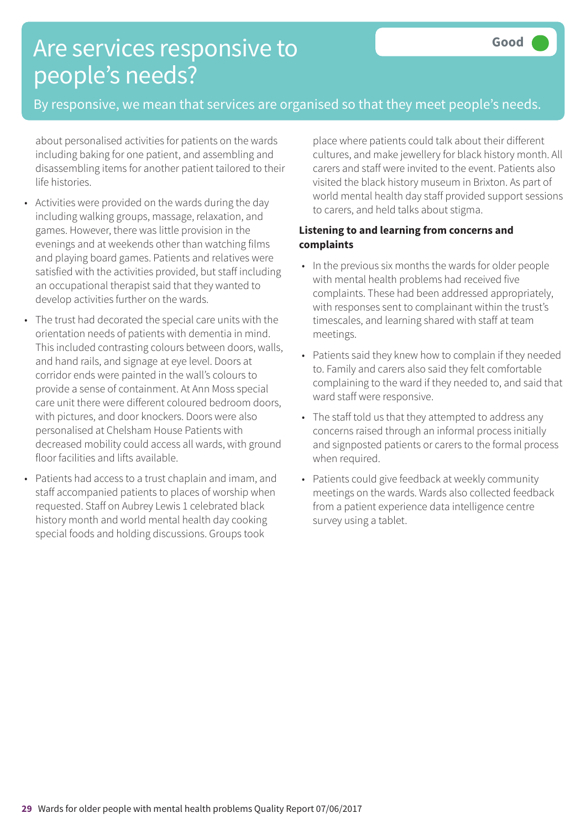## Are services responsive to people's needs?

### By responsive, we mean that services are organised so that they meet people's needs.

about personalised activities for patients on the wards including baking for one patient, and assembling and disassembling items for another patient tailored to their life histories.

- Activities were provided on the wards during the day including walking groups, massage, relaxation, and games. However, there was little provision in the evenings and at weekends other than watching films and playing board games. Patients and relatives were satisfied with the activities provided, but staff including an occupational therapist said that they wanted to develop activities further on the wards.
- The trust had decorated the special care units with the orientation needs of patients with dementia in mind. This included contrasting colours between doors, walls, and hand rails, and signage at eye level. Doors at corridor ends were painted in the wall's colours to provide a sense of containment. At Ann Moss special care unit there were different coloured bedroom doors, with pictures, and door knockers. Doors were also personalised at Chelsham House Patients with decreased mobility could access all wards, with ground floor facilities and lifts available.
- Patients had access to a trust chaplain and imam, and staff accompanied patients to places of worship when requested. Staff on Aubrey Lewis 1 celebrated black history month and world mental health day cooking special foods and holding discussions. Groups took

place where patients could talk about their different cultures, and make jewellery for black history month. All carers and staff were invited to the event. Patients also visited the black history museum in Brixton. As part of world mental health day staff provided support sessions to carers, and held talks about stigma.

### **Listening to and learning from concerns and complaints**

- In the previous six months the wards for older people with mental health problems had received five complaints. These had been addressed appropriately, with responses sent to complainant within the trust's timescales, and learning shared with staff at team meetings.
- Patients said they knew how to complain if they needed to. Family and carers also said they felt comfortable complaining to the ward if they needed to, and said that ward staff were responsive.
- The staff told us that they attempted to address any concerns raised through an informal process initially and signposted patients or carers to the formal process when required.
- Patients could give feedback at weekly community meetings on the wards. Wards also collected feedback from a patient experience data intelligence centre survey using a tablet.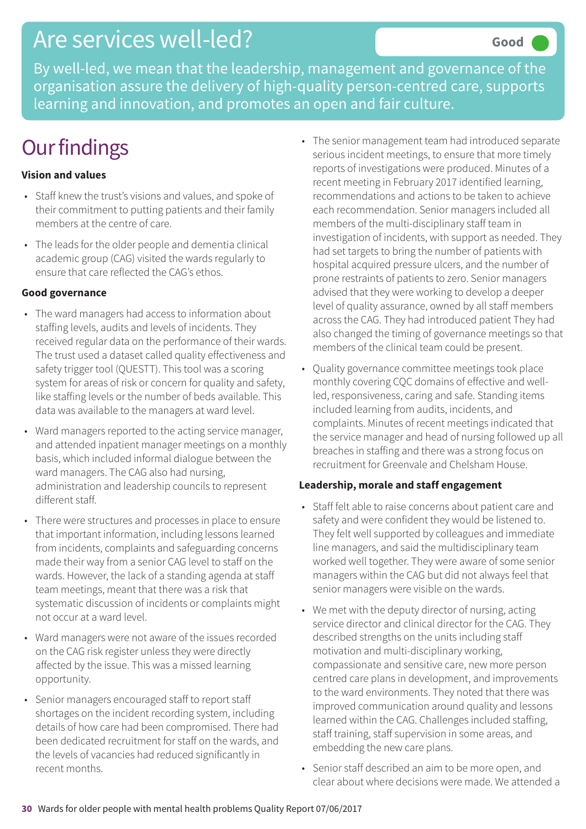### Are services well-led?

By well-led, we mean that the leadership, management and governance of the organisation assure the delivery of high-quality person-centred care, supports learning and innovation, and promotes an open and fair culture.

## **Our findings**

### **Vision and values**

- Staff knew the trust's visions and values, and spoke of their commitment to putting patients and their family members at the centre of care.
- The leads for the older people and dementia clinical academic group (CAG) visited the wards regularly to ensure that care reflected the CAG's ethos.

#### **Good governance**

- The ward managers had access to information about staffing levels, audits and levels of incidents. They received regular data on the performance of their wards. The trust used a dataset called quality effectiveness and safety trigger tool (QUESTT). This tool was a scoring system for areas of risk or concern for quality and safety, like staffing levels or the number of beds available. This data was available to the managers at ward level.
- Ward managers reported to the acting service manager, and attended inpatient manager meetings on a monthly basis, which included informal dialogue between the ward managers. The CAG also had nursing, administration and leadership councils to represent different staff.
- There were structures and processes in place to ensure that important information, including lessons learned from incidents, complaints and safeguarding concerns made their way from a senior CAG level to staff on the wards. However, the lack of a standing agenda at staff team meetings, meant that there was a risk that systematic discussion of incidents or complaints might not occur at a ward level.
- Ward managers were not aware of the issues recorded on the CAG risk register unless they were directly affected by the issue. This was a missed learning opportunity.
- Senior managers encouraged staff to report staff shortages on the incident recording system, including details of how care had been compromised. There had been dedicated recruitment for staff on the wards, and the levels of vacancies had reduced significantly in recent months.
- The senior management team had introduced separate serious incident meetings, to ensure that more timely reports of investigations were produced. Minutes of a recent meeting in February 2017 identified learning, recommendations and actions to be taken to achieve each recommendation. Senior managers included all members of the multi-disciplinary staff team in investigation of incidents, with support as needed. They had set targets to bring the number of patients with hospital acquired pressure ulcers, and the number of prone restraints of patients to zero. Senior managers advised that they were working to develop a deeper level of quality assurance, owned by all staff members across the CAG. They had introduced patient They had also changed the timing of governance meetings so that members of the clinical team could be present.
- Quality governance committee meetings took place monthly covering CQC domains of effective and wellled, responsiveness, caring and safe. Standing items included learning from audits, incidents, and complaints. Minutes of recent meetings indicated that the service manager and head of nursing followed up all breaches in staffing and there was a strong focus on recruitment for Greenvale and Chelsham House.

#### **Leadership, morale and staff engagement**

- Staff felt able to raise concerns about patient care and safety and were confident they would be listened to. They felt well supported by colleagues and immediate line managers, and said the multidisciplinary team worked well together. They were aware of some senior managers within the CAG but did not always feel that senior managers were visible on the wards.
- We met with the deputy director of nursing, acting service director and clinical director for the CAG. They described strengths on the units including staff motivation and multi-disciplinary working, compassionate and sensitive care, new more person centred care plans in development, and improvements to the ward environments. They noted that there was improved communication around quality and lessons learned within the CAG. Challenges included staffing, staff training, staff supervision in some areas, and embedding the new care plans.
- Senior staff described an aim to be more open, and clear about where decisions were made. We attended a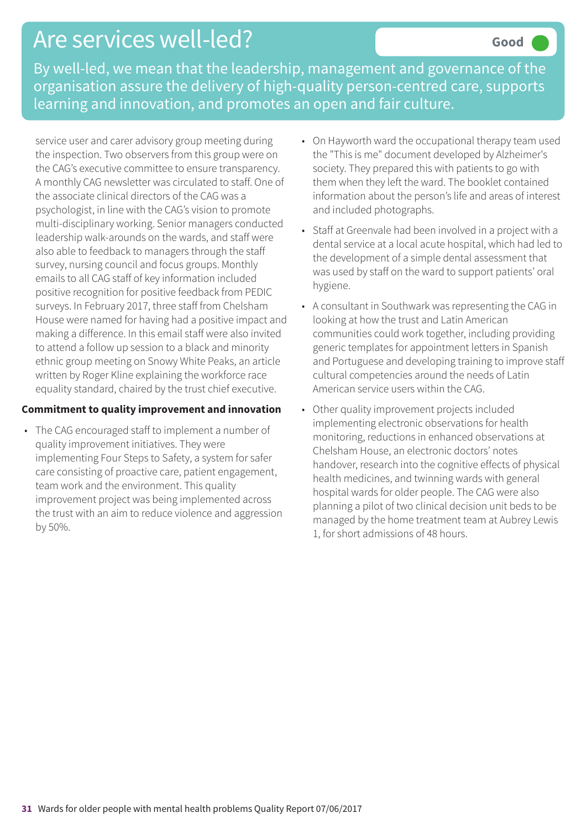## Are services well-led?

By well-led, we mean that the leadership, management and governance of the organisation assure the delivery of high-quality person-centred care, supports learning and innovation, and promotes an open and fair culture.

service user and carer advisory group meeting during the inspection. Two observers from this group were on the CAG's executive committee to ensure transparency. A monthly CAG newsletter was circulated to staff. One of the associate clinical directors of the CAG was a psychologist, in line with the CAG's vision to promote multi-disciplinary working. Senior managers conducted leadership walk-arounds on the wards, and staff were also able to feedback to managers through the staff survey, nursing council and focus groups. Monthly emails to all CAG staff of key information included positive recognition for positive feedback from PEDIC surveys. In February 2017, three staff from Chelsham House were named for having had a positive impact and making a difference. In this email staff were also invited to attend a follow up session to a black and minority ethnic group meeting on Snowy White Peaks, an article written by Roger Kline explaining the workforce race equality standard, chaired by the trust chief executive.

#### **Commitment to quality improvement and innovation**

• The CAG encouraged staff to implement a number of quality improvement initiatives. They were implementing Four Steps to Safety, a system for safer care consisting of proactive care, patient engagement, team work and the environment. This quality improvement project was being implemented across the trust with an aim to reduce violence and aggression by 50%.

- On Hayworth ward the occupational therapy team used the "This is me" document developed by Alzheimer's society. They prepared this with patients to go with them when they left the ward. The booklet contained information about the person's life and areas of interest and included photographs.
- Staff at Greenvale had been involved in a project with a dental service at a local acute hospital, which had led to the development of a simple dental assessment that was used by staff on the ward to support patients' oral hygiene.
- A consultant in Southwark was representing the CAG in looking at how the trust and Latin American communities could work together, including providing generic templates for appointment letters in Spanish and Portuguese and developing training to improve staff cultural competencies around the needs of Latin American service users within the CAG.
- Other quality improvement projects included implementing electronic observations for health monitoring, reductions in enhanced observations at Chelsham House, an electronic doctors' notes handover, research into the cognitive effects of physical health medicines, and twinning wards with general hospital wards for older people. The CAG were also planning a pilot of two clinical decision unit beds to be managed by the home treatment team at Aubrey Lewis 1, for short admissions of 48 hours.